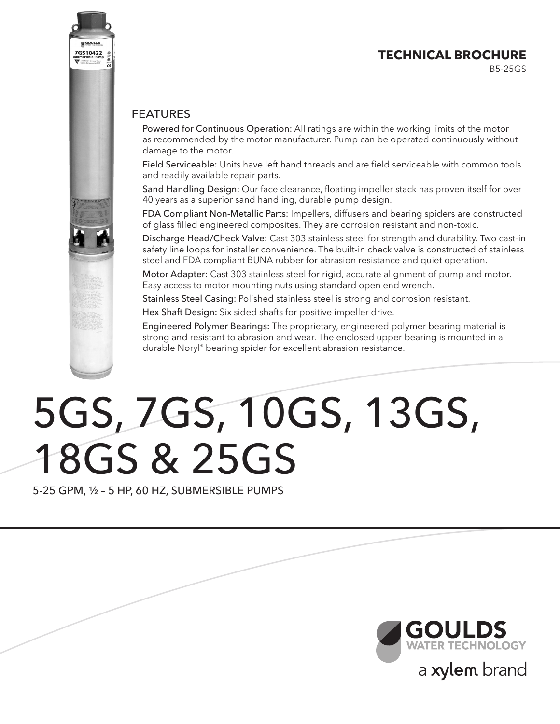# **TECHNICAL BROCHURE**

B5-25GS

#### FEATURES

7GS10422

Powered for Continuous Operation: All ratings are within the working limits of the motor as recommended by the motor manufacturer. Pump can be operated continuously without damage to the motor.

Field Serviceable: Units have left hand threads and are field serviceable with common tools and readily available repair parts.

Sand Handling Design: Our face clearance, floating impeller stack has proven itself for over 40 years as a superior sand handling, durable pump design.

FDA Compliant Non-Metallic Parts: Impellers, diffusers and bearing spiders are constructed of glass filled engineered composites. They are corrosion resistant and non-toxic.

Discharge Head/Check Valve: Cast 303 stainless steel for strength and durability. Two cast-in safety line loops for installer convenience. The built-in check valve is constructed of stainless steel and FDA compliant BUNA rubber for abrasion resistance and quiet operation.

Motor Adapter: Cast 303 stainless steel for rigid, accurate alignment of pump and motor. Easy access to motor mounting nuts using standard open end wrench.

Stainless Steel Casing: Polished stainless steel is strong and corrosion resistant.

Hex Shaft Design: Six sided shafts for positive impeller drive.

Engineered Polymer Bearings: The proprietary, engineered polymer bearing material is strong and resistant to abrasion and wear. The enclosed upper bearing is mounted in a durable Noryl® bearing spider for excellent abrasion resistance.

# 5GS, 7GS, 10GS, 13GS, 18GS & 25GS

5-25 GPM, ½ – 5 HP, 60 HZ, SUBMERSIBLE PUMPS

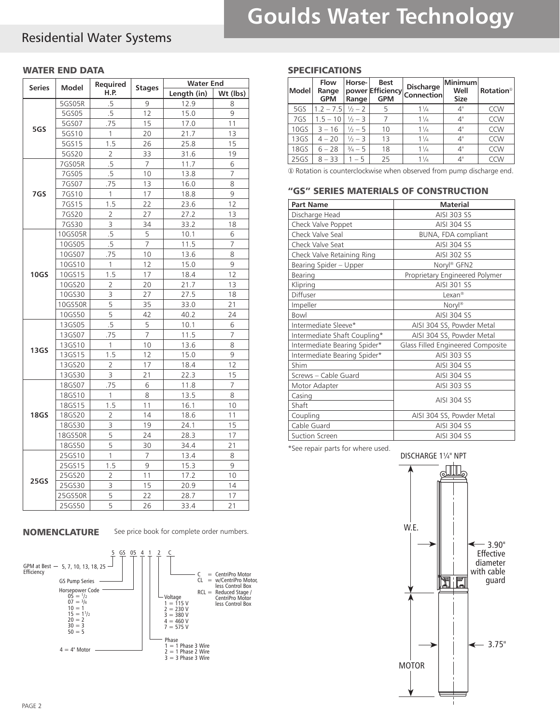# Residential Water Systems

#### WATER END DATA

| <b>Series</b> | Model   | Required       | <b>Stages</b>  | <b>Water End</b> |          |
|---------------|---------|----------------|----------------|------------------|----------|
|               |         | H.P.           |                | Length (in)      | Wt (lbs) |
|               | 5GS05R  | .5             | 9              | 12.9             | 8        |
|               | 5GS05   | .5             | 12             | 15.0             | 9        |
| 5GS           | 5GS07   | .75            | 15             | 17.0             | 11       |
|               | 5GS10   | 1              | 20             | 21.7             | 13       |
|               | 5GS15   | 1.5            | 26             | 25.8             | 15       |
|               | 5GS20   | 2              | 33             | 31.6             | 19       |
|               | 7GS05R  | .5             | $\overline{7}$ | 11.7             | 6        |
|               | 7GS05   | .5             | 10             | 13.8             | 7        |
|               | 7GS07   | .75            | 13             | 16.0             | 8        |
| 7GS           | 7GS10   | 1              | 17             | 18.8             | 9        |
|               | 7GS15   | 1.5            | 22             | 23.6             | 12       |
|               | 7GS20   | 2              | 27             | 27.2             | 13       |
|               | 7GS30   | 3              | 34             | 33.2             | 18       |
|               | 10GS05R | .5             | 5              | 10.1             | 6        |
|               | 10GS05  | .5             | $\overline{7}$ | 11.5             | 7        |
|               | 10GS07  | .75            | 10             | 13.6             | 8        |
|               | 10GS10  | 1              | 12             | 15.0             | 9        |
| <b>10GS</b>   | 10GS15  | 1.5            | 17             | 18.4             | 12       |
|               | 10GS20  | $\overline{2}$ | 20             | 21.7             | 13       |
|               | 10GS30  | 3              | 27             | 27.5             | 18       |
|               | 10GS50R | 5              | 35             | 33.0             | 21       |
|               | 10GS50  | 5              | 42             | 40.2             | 24       |
|               | 13GS05  | .5             | 5              | 10.1             | 6        |
|               | 13GS07  | .75            | 7              | 11.5             | 7        |
|               | 13GS10  | 1              | 10             | 13.6             | 8        |
| 13GS          | 13GS15  | 1.5            | 12             | 15.0             | 9        |
|               | 13GS20  | $\overline{2}$ | 17             | 18.4             | 12       |
|               | 13GS30  | 3              | 21             | 22.3             | 15       |
|               | 18GS07  | .75            | 6              | 11.8             | 7        |
|               | 18GS10  | 1              | 8              | 13.5             | 8        |
|               | 18GS15  | 1.5            | 11             | 16.1             | 10       |
| <b>18GS</b>   | 18GS20  | 2              | 14             | 18.6             | 11       |
|               | 18GS30  | 3              | 19             | 24.1             | 15       |
|               | 18GS50R | 5              | 24             | 28.3             | 17       |
|               | 18GS50  | 5              | 30             | 34.4             | 21       |
|               | 25GS10  | 1              | 7              | 13.4             | 8        |
|               | 25GS15  | 1.5            | 9              | 15.3             | 9        |
|               | 25GS20  | 2              | 11             | 17.2             | 10       |
| 25GS          | 25GS30  | 3              | 15             | 20.9             | 14       |
|               | 25GS50R | 5              | 22             | 28.7             | 17       |
|               | 25GS50  | $\overline{5}$ | 26             | 33.4             | 21       |

#### NOMENCLATURE

See price book for complete order numbers.



#### SPECIFICATIONS

| Model | <b>Flow</b><br>Range<br><b>GPM</b> | Horse-<br>Range   | <b>Best</b><br>power Efficiency<br><b>GPM</b> | <b>Discharge</b><br><b>Connection</b> | Minimum<br>Well<br><b>Size</b> | <b>Rotation</b> <sup>0</sup> |
|-------|------------------------------------|-------------------|-----------------------------------------------|---------------------------------------|--------------------------------|------------------------------|
| 5GS   | $1.2 - 7.5$                        | $\frac{1}{2} - 2$ | 5                                             | $1\frac{1}{4}$                        | 4"                             | <b>CCW</b>                   |
| 7GS   | $1.5 - 10$                         | $\frac{1}{2} - 3$ |                                               | $1\frac{1}{4}$                        | 4"                             | CCW                          |
| 10GS  | $3 - 16$                           | $\frac{1}{2} - 5$ | 10                                            | $1\frac{1}{4}$                        | 4"                             | CCW                          |
| 13GS  | $4 - 20$                           | $\frac{1}{2} - 3$ | 13                                            | $1\frac{1}{4}$                        | 4"                             | <b>CCW</b>                   |
| 18GS  | $6 - 28$                           | $\frac{3}{4} - 5$ | 18                                            | $1\frac{1}{4}$                        | 4"                             | CCW                          |
| 25GS  | $8 - 33$                           | $1 - 5$           | 25                                            | $1\frac{1}{4}$                        | 4"                             | <b>CCW</b>                   |

① Rotation is counterclockwise when observed from pump discharge end.

#### "GS" SERIES MATERIALS OF CONSTRUCTION

| <b>Part Name</b>             | <b>Material</b>                   |
|------------------------------|-----------------------------------|
| Discharge Head               | AISI 303 SS                       |
| Check Valve Poppet           | AISI 304 SS                       |
| Check Valve Seal             | BUNA, FDA compliant               |
| Check Valve Seat             | AISI 304 SS                       |
| Check Valve Retaining Ring   | AISI 302 SS                       |
| Bearing Spider - Upper       | Noryl® GFN2                       |
| Bearing                      | Proprietary Engineered Polymer    |
| Klipring                     | AISI 301 SS                       |
| Diffuser                     | Lexan <sup>®</sup>                |
| Impeller                     | $Noryl^®$                         |
| Bowl                         | AISI 304 SS                       |
| Intermediate Sleeve*         | AISI 304 SS, Powder Metal         |
| Intermediate Shaft Coupling* | AISI 304 SS, Powder Metal         |
| Intermediate Bearing Spider* | Glass Filled Engineered Composite |
| Intermediate Bearing Spider* | AISI 303 SS                       |
| Shim                         | AISI 304 SS                       |
| Screws - Cable Guard         | <b>AISI 304 SS</b>                |
| Motor Adapter                | AISI 303 SS                       |
| Casing                       | AISI 304 SS                       |
| Shaft                        |                                   |
| Coupling                     | AISI 304 SS, Powder Metal         |
| Cable Guard                  | <b>AISI 304 SS</b>                |
| Suction Screen               | <b>AISI 304 SS</b>                |

\*See repair parts for where used.

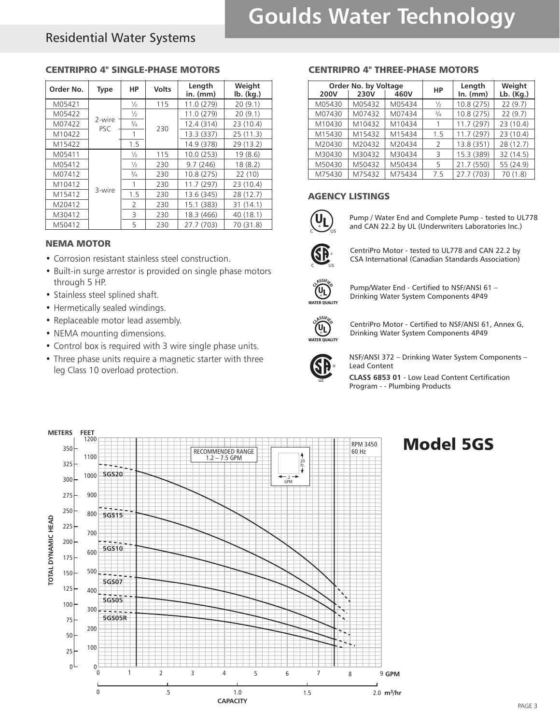# Residential Water Systems

#### CENTRIPRO 4" SINGLE-PHASE MOTORS

| Order No. | <b>Type</b>   | НP                       | <b>Volts</b> | Length<br>$in.$ ( $mm$ ) | Weight<br>$Ib.$ ( $kg.$ ) |
|-----------|---------------|--------------------------|--------------|--------------------------|---------------------------|
| M05421    |               | $\frac{1}{2}$            | 115          | 11.0 (279)               | 20(9.1)                   |
| M05422    |               | $\frac{1}{2}$            |              | 11.0 (279)               | 20(9.1)                   |
| M07422    | 2-wire<br>PSC | $\frac{3}{4}$            | 230          | 12.4 (314)               | 23 (10.4)                 |
| M10422    |               |                          |              | 13.3(337)                | 25(11.3)                  |
| M15422    |               | 1.5                      |              | 14.9 (378)               | 29 (13.2)                 |
| M05411    |               | $\frac{1}{2}$            | 115          | 10.0(253)                | 19(8.6)                   |
| M05412    |               | $\frac{1}{2}$            | 230          | 9.7(246)                 | 18(8.2)                   |
| M07412    |               | $^{3}/_{4}$              | 230          | 10.8 (275)               | 22 (10)                   |
| M10412    |               |                          | 230          | 11.7(297)                | 23 (10.4)                 |
| M15412    | 3-wire        | 1.5                      | 230          | 13.6 (345)               | 28 (12.7)                 |
| M20412    |               | $\overline{\phantom{a}}$ | 230          | 15.1 (383)               | 31 (14.1)                 |
| M30412    |               | 3                        | 230          | 18.3 (466)               | 40 (18.1)                 |
| M50412    |               | 5                        | 230          | 27.7 (703)               | 70 (31.8)                 |

#### NEMA MOTOR

- Corrosion resistant stainless steel construction.
- Built-in surge arrestor is provided on single phase motors through 5 HP.
- Stainless steel splined shaft.
- Hermetically sealed windings.
- Replaceable motor lead assembly.
- NEMA mounting dimensions.
- • Control box is required with 3 wire single phase units.
- Three phase units require a magnetic starter with three leg Class 10 overload protection.

#### CENTRIPRO 4" THREE-PHASE MOTORS

|        | <b>Order No. by Voltage</b> |        |               | Length     | Weight    |
|--------|-----------------------------|--------|---------------|------------|-----------|
| 200V   | 230V                        | 460V   | HP            | $In.$ (mm) | Lb. (Kg.) |
| M05430 | M05432                      | M05434 | ⅓             | 10.8 (275) | 22(9.7)   |
| M07430 | M07432                      | M07434 | $^{3}/_{4}$   | 10.8 (275) | 22(9.7)   |
| M10430 | M10432                      | M10434 |               | 11.7 (297) | 23 (10.4) |
| M15430 | M15432                      | M15434 | 1.5           | 11.7(297)  | 23 (10.4) |
| M20430 | M20432                      | M20434 | $\mathcal{L}$ | 13.8 (351) | 28 (12.7) |
| M30430 | M30432                      | M30434 | 3             | 15.3 (389) | 32 (14.5) |
| M50430 | M50432                      | M50434 | 5             | 21.7 (550) | 55 (24.9) |
| M75430 | M75432                      | M75434 | 7.5           | 27.7 (703) | 70(1.8)   |

#### AGENCY LISTINGS



**DUAL FRAN** Pump / Water End and Complete Pump - tested to UL778 and CAN 22.2 by UL (Underwriters Laboratories Inc.)



 $\mathbf{P}^*$  CentriPro Motor - tested to UL778 and CAN 22.2 by<br>CSA International (Canadian Standards Association) CSA International (Canadian Standards Association)



Pump/Water End - Certified to NSF/ANSI 61 – Drinking Water System Components 4P49



CentriPro Motor - Certified to NSF/ANSI 61, Annex G, Drinking Water System Components 4P49



NSF/ANSI 372 – Drinking Water System Components – Lead Content

**CLASS 6853 01** - Low Lead Content Certification Program - - Plumbing Products

# Model 5GS

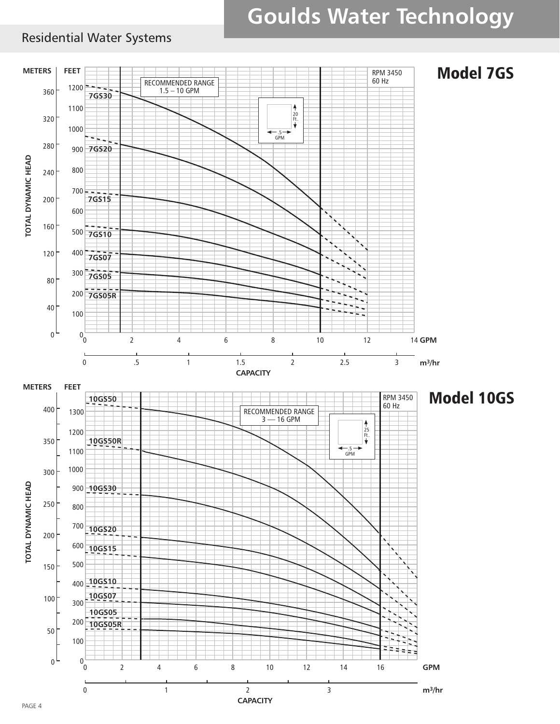# Residential Water Systems

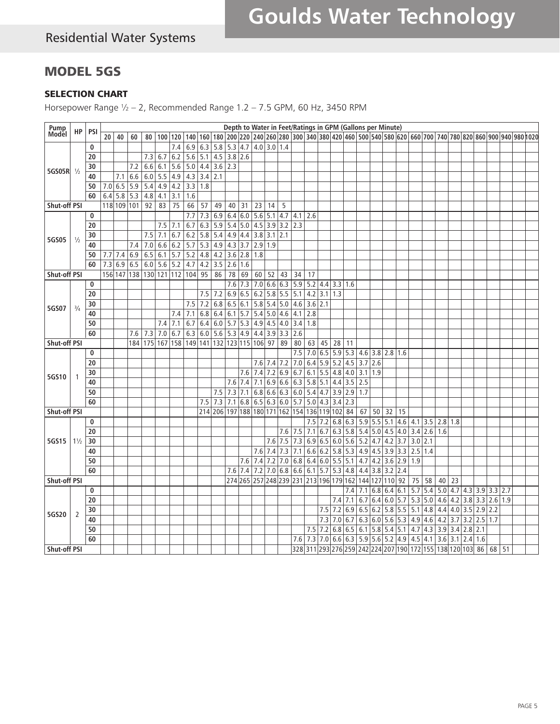# MODEL 5GS

#### SELECTION CHART

Horsepower Range ½ – 2, Recommended Range 1.2 – 7.5 GPM, 60 Hz, 3450 RPM

| Pump<br>Model       |                |            |                  |             |     |                 |                |     |                                                                |                       |                               |         |                                        |                 |               |                   |           |                 |                   |     | Depth to Water in Feet/Ratings in GPM (Gallons per Minute)                                     |                               |               |                       |         |               |                           |             |         |                       |                                     |                                                                                                                                                     |  |
|---------------------|----------------|------------|------------------|-------------|-----|-----------------|----------------|-----|----------------------------------------------------------------|-----------------------|-------------------------------|---------|----------------------------------------|-----------------|---------------|-------------------|-----------|-----------------|-------------------|-----|------------------------------------------------------------------------------------------------|-------------------------------|---------------|-----------------------|---------|---------------|---------------------------|-------------|---------|-----------------------|-------------------------------------|-----------------------------------------------------------------------------------------------------------------------------------------------------|--|
|                     | НP             | <b>PSI</b> | 20               | 40          | 60  |                 | 80   100   120 |     | 140                                                            |                       |                               |         |                                        |                 |               |                   |           |                 |                   |     |                                                                                                |                               |               |                       |         |               |                           |             |         |                       |                                     | 160   180   200   220   240   260   280   300   340   380   420   460   500   540   580   650   700   740   780   820   860   900   940   980  1020 |  |
|                     |                | 0          |                  |             |     |                 |                | 7.4 | 6.9                                                            | 6.3                   | 5.8                           |         | 5.3   4.7                              |                 | $1.0$ 3.0 1.4 |                   |           |                 |                   |     |                                                                                                |                               |               |                       |         |               |                           |             |         |                       |                                     |                                                                                                                                                     |  |
|                     |                | 20         |                  |             |     |                 | 7.3   6.7      | 6.2 |                                                                | $5.6$ 5.1 4.5 3.8 2.6 |                               |         |                                        |                 |               |                   |           |                 |                   |     |                                                                                                |                               |               |                       |         |               |                           |             |         |                       |                                     |                                                                                                                                                     |  |
| 5GS05R 1/2          |                | 30         |                  |             | 7.2 | 6.6             | 6.1            | 5.6 | 5.0                                                            | 4.4                   | 3.6                           | 2.3     |                                        |                 |               |                   |           |                 |                   |     |                                                                                                |                               |               |                       |         |               |                           |             |         |                       |                                     |                                                                                                                                                     |  |
|                     |                | 40         |                  | 7.1         | 6.6 |                 | $6.0$ 5.5 4.9  |     | 4.3                                                            | $3.4$ 2.1             |                               |         |                                        |                 |               |                   |           |                 |                   |     |                                                                                                |                               |               |                       |         |               |                           |             |         |                       |                                     |                                                                                                                                                     |  |
|                     |                | 50         | 7.0 6.5          |             | 5.9 |                 | 5.4 4.9        | 4.2 | 3.3                                                            | 1.8                   |                               |         |                                        |                 |               |                   |           |                 |                   |     |                                                                                                |                               |               |                       |         |               |                           |             |         |                       |                                     |                                                                                                                                                     |  |
|                     |                | 60         | $6.4$ 5.8        |             | 5.3 | 4.8             | 4.1            | 3.1 | 1.6                                                            |                       |                               |         |                                        |                 |               |                   |           |                 |                   |     |                                                                                                |                               |               |                       |         |               |                           |             |         |                       |                                     |                                                                                                                                                     |  |
| <b>Shut-off PSI</b> |                |            |                  | 118 109 101 |     | 92 <sub>1</sub> | 83             | 75  | 66                                                             | 57                    | 49                            | 40 31   |                                        | $\overline{23}$ | 14            | 5                 |           |                 |                   |     |                                                                                                |                               |               |                       |         |               |                           |             |         |                       |                                     |                                                                                                                                                     |  |
|                     |                | 0          |                  |             |     |                 |                |     | 7.7                                                            | 7.3                   | 6.9                           | 6.4     | 6.0                                    | 5.6             | 5.1           | 4.7               | 4.1       | 2.6             |                   |     |                                                                                                |                               |               |                       |         |               |                           |             |         |                       |                                     |                                                                                                                                                     |  |
|                     |                | 20         |                  |             |     |                 | $7.5$ 7.1      |     | 6.7                                                            |                       | $6.3$ 5.9                     |         | 5.4 5.0                                |                 |               | $4.5$ 3.9 3.2 2.3 |           |                 |                   |     |                                                                                                |                               |               |                       |         |               |                           |             |         |                       |                                     |                                                                                                                                                     |  |
|                     |                | 30         |                  |             |     | 7.5             | 7.1            | 6.7 | 6.2                                                            | 5.8                   | 5.4                           |         | 4.9 4.4                                | 3.8             | $3.1$ 2.1     |                   |           |                 |                   |     |                                                                                                |                               |               |                       |         |               |                           |             |         |                       |                                     |                                                                                                                                                     |  |
| 5GS05               | $\frac{1}{2}$  | 40         |                  |             | 7.4 | 7.0             | 6.6            | 6.2 | 5.7                                                            | 5.3                   | 4.9                           |         | 4.3 3.7                                | 2.9             | 1.9           |                   |           |                 |                   |     |                                                                                                |                               |               |                       |         |               |                           |             |         |                       |                                     |                                                                                                                                                     |  |
|                     |                | 50         | $7.7$ 7.4        |             | 6.9 |                 | $6.5$ 6.1 5.7  |     | 5.2                                                            | 4.8 4.2 3.6 2.8       |                               |         |                                        | 1.8             |               |                   |           |                 |                   |     |                                                                                                |                               |               |                       |         |               |                           |             |         |                       |                                     |                                                                                                                                                     |  |
|                     |                | 60         | $7.\overline{3}$ | 6.9         | 6.5 |                 | $6.0$ 5.6 5.2  |     | 4.7                                                            | 4.2                   | 3.5                           | 2.6     | 1.6                                    |                 |               |                   |           |                 |                   |     |                                                                                                |                               |               |                       |         |               |                           |             |         |                       |                                     |                                                                                                                                                     |  |
| <b>Shut-off PSI</b> |                |            |                  |             |     |                 |                |     | 156 147 138 130 121 12 104 95                                  |                       | 86                            | 78      | 69                                     | 60              | 52            | 43                | 34        | 17              |                   |     |                                                                                                |                               |               |                       |         |               |                           |             |         |                       |                                     |                                                                                                                                                     |  |
|                     |                | 0          |                  |             |     |                 |                |     |                                                                |                       |                               | 7.6     | 7.3                                    | 7.0             |               | 6.6 6.3 5.9       |           | 5.2             |                   |     | 4.4 3.3 1.6                                                                                    |                               |               |                       |         |               |                           |             |         |                       |                                     |                                                                                                                                                     |  |
|                     |                | 20         |                  |             |     |                 |                |     |                                                                |                       | $7.5$ 7.2                     | 6.9     | 6.5                                    | 6.2             | $5.8$ 5.5     |                   | 5.1       | 4.2             | $3.1 \,   \, 1.3$ |     |                                                                                                |                               |               |                       |         |               |                           |             |         |                       |                                     |                                                                                                                                                     |  |
|                     |                | 30         |                  |             |     |                 |                |     | 7.5                                                            | 7.2                   | 6.8                           |         | 6.5 6.1                                |                 | $5.8$ 5.4 5.0 |                   | 4.6       | $3.6$ 2.1       |                   |     |                                                                                                |                               |               |                       |         |               |                           |             |         |                       |                                     |                                                                                                                                                     |  |
| 5GS07               | $\frac{3}{4}$  | 40         |                  |             |     |                 |                | 7.4 | 7.1                                                            | 6.8                   | 6.4                           | 6.1     | $\overline{5.7}$                       | 5.4             | 5.0   4.6     |                   | 4.1       | 2.8             |                   |     |                                                                                                |                               |               |                       |         |               |                           |             |         |                       |                                     |                                                                                                                                                     |  |
|                     |                | 50         |                  |             |     |                 | $7.4$ 7.1      |     | 6.7                                                            |                       | $6.4$ 6.0 5.7 5.3             |         |                                        |                 | 4.9 4.5 4.0   |                   | 3.4       | 1.8             |                   |     |                                                                                                |                               |               |                       |         |               |                           |             |         |                       |                                     |                                                                                                                                                     |  |
|                     |                | 60         |                  |             | 7.6 |                 | $7.3$ 7.0      | 6.7 | 6.3                                                            |                       | $6.0$ 5.6 5.3 4.9 4.4 3.9 3.3 |         |                                        |                 |               |                   | 2.6       |                 |                   |     |                                                                                                |                               |               |                       |         |               |                           |             |         |                       |                                     |                                                                                                                                                     |  |
| Shut-off PSI        |                |            |                  |             |     |                 |                |     | 184   175   167   158   149   141   132   123   115   106   97 |                       |                               |         |                                        |                 |               | 89                | 80        | 63              | 45                | 28  | 11                                                                                             |                               |               |                       |         |               |                           |             |         |                       |                                     |                                                                                                                                                     |  |
|                     |                | 0          |                  |             |     |                 |                |     |                                                                |                       |                               |         |                                        |                 |               |                   | 7.5       |                 |                   |     | $7.0$ 6.5 5.9 5.3 4.6 3.8 2.8 1.6                                                              |                               |               |                       |         |               |                           |             |         |                       |                                     |                                                                                                                                                     |  |
|                     |                | 20         |                  |             |     |                 |                |     |                                                                |                       |                               |         |                                        |                 | $7.6$ 7.4 7.2 |                   | 7.0       | $6.4$ 5.9       |                   | 5.2 |                                                                                                | $4.5$ 3.7 2.6                 |               |                       |         |               |                           |             |         |                       |                                     |                                                                                                                                                     |  |
| 5GS10               |                | 30         |                  |             |     |                 |                |     |                                                                |                       |                               |         | 7.6                                    | 7.4             | 7.2           | 6.9               | 6.7       |                 |                   |     | $6.1$ 5.5 4.8 4.0 3.1 1.9                                                                      |                               |               |                       |         |               |                           |             |         |                       |                                     |                                                                                                                                                     |  |
|                     |                | 40         |                  |             |     |                 |                |     |                                                                |                       |                               |         | $7.6 \mid 7.4$                         | 7.1             |               | 6.9   6.6   6.3   |           |                 |                   |     | 5.8 5.1 4.4 3.5 2.5                                                                            |                               |               |                       |         |               |                           |             |         |                       |                                     |                                                                                                                                                     |  |
|                     |                | 50         |                  |             |     |                 |                |     |                                                                |                       | 7.5                           | 7.3 7.1 |                                        | 6.8             | 6.6 6.3       |                   | 6.0       |                 |                   |     | 5.4 4.7 3.9 2.9                                                                                | 1.7                           |               |                       |         |               |                           |             |         |                       |                                     |                                                                                                                                                     |  |
|                     |                | 60         |                  |             |     |                 |                |     |                                                                | 7.5                   | 7.3                           |         | $7.1$ 6.8 6.5 6.3 6.0 5.7              |                 |               |                   |           | 5.0 4.3 3.4 2.3 |                   |     |                                                                                                |                               |               |                       |         |               |                           |             |         |                       |                                     |                                                                                                                                                     |  |
| <b>Shut-off PSI</b> |                |            |                  |             |     |                 |                |     |                                                                |                       | 214 206                       |         | 197 188 180 171 162 154 136 119 102 84 |                 |               |                   |           |                 |                   |     |                                                                                                | 67                            | 50            | 32                    | 15      |               |                           |             |         |                       |                                     |                                                                                                                                                     |  |
|                     |                | 0          |                  |             |     |                 |                |     |                                                                |                       |                               |         |                                        |                 |               |                   |           |                 | $7.5$ 7.2         |     | $6.8$ 6.3 5.9 5.5 5.1                                                                          |                               |               |                       |         |               | 4.6 4.1 3.5 2.8 1.8       |             |         |                       |                                     |                                                                                                                                                     |  |
|                     |                | 20         |                  |             |     |                 |                |     |                                                                |                       |                               |         |                                        |                 |               |                   | $7.6$ 7.5 | 7.1             |                   |     | $\boxed{6.7 \mid 6.3 \mid 5.8 \mid 5.4 \mid 5.0 \mid 4.5 \mid 4.0 \mid 3.4 \mid 2.6 \mid 1.6}$ |                               |               |                       |         |               |                           |             |         |                       |                                     |                                                                                                                                                     |  |
| 5GS15               | $1\frac{1}{2}$ | 30         |                  |             |     |                 |                |     |                                                                |                       |                               |         |                                        |                 |               | $7.6$ 7.5 7.3     |           |                 |                   |     | $6.9$ 6.5 6.0 5.6                                                                              |                               |               | $5.2$ 4.7 4.2 3.7 3.0 |         |               | 2.1                       |             |         |                       |                                     |                                                                                                                                                     |  |
|                     |                | 40         |                  |             |     |                 |                |     |                                                                |                       |                               |         |                                        |                 | $7.6$ 7.4 7.3 |                   | 7.1       |                 |                   |     | $6.6$ 6.2 5.8 5.3 4.9 4.5 3.9 3.3 2.5 1.4                                                      |                               |               |                       |         |               |                           |             |         |                       |                                     |                                                                                                                                                     |  |
|                     |                | 50         |                  |             |     |                 |                |     |                                                                |                       |                               |         | 7.6                                    |                 | $7.4$ 7.2 7.0 |                   | 6.8       |                 |                   |     | $6.4$ 6.0 5.5 5.1                                                                              |                               | $4.7$ 4.2 3.6 |                       | 2.9 1.9 |               |                           |             |         |                       |                                     |                                                                                                                                                     |  |
|                     |                | 60         |                  |             |     |                 |                |     |                                                                |                       |                               |         | $7.6$   $7.4$                          | 7.2             |               | $7.0$ 6.8 6.6     |           |                 |                   |     | $6.1$ 5.7 5.3 4.8                                                                              |                               |               | $4.4$ 3.8 3.2 2.4     |         |               |                           |             |         |                       |                                     |                                                                                                                                                     |  |
| <b>Shut-off PSI</b> |                |            |                  |             |     |                 |                |     |                                                                |                       |                               |         |                                        |                 |               |                   |           |                 |                   |     | 274 265 257 248 239 231 213 196 179 162 144 127 110 92                                         |                               |               |                       |         | 75            | 58                        |             | $40$ 23 |                       |                                     |                                                                                                                                                     |  |
|                     |                | 0          |                  |             |     |                 |                |     |                                                                |                       |                               |         |                                        |                 |               |                   |           |                 |                   |     | 7.4                                                                                            |                               | $7.1$ 6.8     | 6.4                   | 6.1     | 5.7           | 5.4                       |             |         |                       | $5.0$   4.7   4.3   3.9   3.3   2.7 |                                                                                                                                                     |  |
|                     |                | 20         |                  |             |     |                 |                |     |                                                                |                       |                               |         |                                        |                 |               |                   |           |                 |                   | 7.4 | 7.1                                                                                            | 6.7                           | 6.4           | 6.0                   |         | $5.7$ 5.3 5.0 |                           |             |         |                       | $4.6$ 4.2 3.8 3.3 2.6 1.9           |                                                                                                                                                     |  |
| 5GS20               |                | 30         |                  |             |     |                 |                |     |                                                                |                       |                               |         |                                        |                 |               |                   |           |                 | 7.5               | 7.2 |                                                                                                | $6.9$ 6.5 6.2 5.8 5.5 5.1 4.8 |               |                       |         |               |                           |             |         | $4.4$ 4.0 3.5 2.9 2.2 |                                     |                                                                                                                                                     |  |
|                     | 2              | 40         |                  |             |     |                 |                |     |                                                                |                       |                               |         |                                        |                 |               |                   |           |                 |                   |     | $7.3$ 7.0 6.7                                                                                  |                               |               |                       |         |               | $6.3$ 6.0 5.6 5.3 4.9 4.6 | 4.2 3.7 3.2 |         | $2.5$ 1.7             |                                     |                                                                                                                                                     |  |
|                     |                | 50         |                  |             |     |                 |                |     |                                                                |                       |                               |         |                                        |                 |               |                   |           |                 |                   |     | $7.5$ 7.2 6.8 6.5 6.1 5.8 5.4 5.1                                                              |                               |               |                       |         |               | 4.7 4.3 3.9 3.4 2.8 2.1   |             |         |                       |                                     |                                                                                                                                                     |  |
|                     |                | 60         |                  |             |     |                 |                |     |                                                                |                       |                               |         |                                        |                 |               |                   | 7.6       |                 |                   |     | $7.3$ $7.0$ 6.6 6.3 5.9 5.6 5.2 4.9 4.5 4.1 3.6 3.1 2.4                                        |                               |               |                       |         |               |                           |             |         | 1.6                   |                                     |                                                                                                                                                     |  |
| <b>Shut-off PSI</b> |                |            |                  |             |     |                 |                |     |                                                                |                       |                               |         |                                        |                 |               |                   |           |                 |                   |     | 328 311 293 276 259 242 224 207 190 172 155 138 120 103 86                                     |                               |               |                       |         |               |                           |             |         |                       | 68                                  | 51                                                                                                                                                  |  |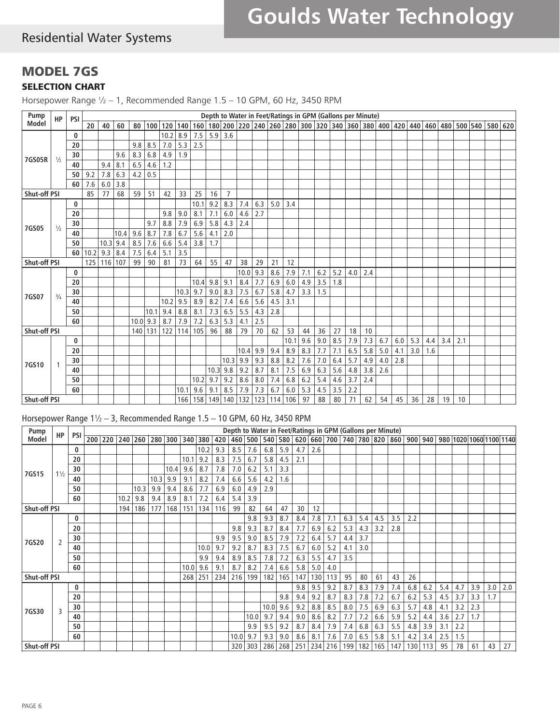# Residential Water Systems

### MODEL 7GS SELECTION CHART

Horsepower Range ½ – 1, Recommended Range 1.5 – 10 GPM, 60 Hz, 3450 RPM

| Pump                                                                                                                                                                                                                                                                                                                                                                                                                                        |                                                                                                                                                                                                                                                                                                                 |  |  |  |  |  |  |  |     |     |     |     |     |     |     |     |     |     |     |     |     |     |     |     |     |    |    |  |         |  |
|---------------------------------------------------------------------------------------------------------------------------------------------------------------------------------------------------------------------------------------------------------------------------------------------------------------------------------------------------------------------------------------------------------------------------------------------|-----------------------------------------------------------------------------------------------------------------------------------------------------------------------------------------------------------------------------------------------------------------------------------------------------------------|--|--|--|--|--|--|--|-----|-----|-----|-----|-----|-----|-----|-----|-----|-----|-----|-----|-----|-----|-----|-----|-----|----|----|--|---------|--|
|                                                                                                                                                                                                                                                                                                                                                                                                                                             | 20<br> 100 <br>120<br>160<br>40<br>60<br>80<br>140<br>8.9<br>7.5<br>5.9<br>3.6<br>$\bf{0}$<br>10.2                                                                                                                                                                                                              |  |  |  |  |  |  |  |     |     |     |     |     |     |     |     |     |     |     |     |     |     |     |     |     |    |    |  | 580 620 |  |
|                                                                                                                                                                                                                                                                                                                                                                                                                                             |                                                                                                                                                                                                                                                                                                                 |  |  |  |  |  |  |  |     |     |     |     |     |     |     |     |     |     |     |     |     |     |     |     |     |    |    |  |         |  |
|                                                                                                                                                                                                                                                                                                                                                                                                                                             | 9.8<br>20<br>8.3<br>9.6<br>30<br>$\frac{1}{2}$<br>6.5<br>40<br>9.4<br>8.1<br>7.8<br>6.3<br>9.2<br>4.2<br>50<br>3.8<br>7.6<br>6.0<br>60<br>77<br>68<br>85<br>59<br>0<br>20<br>30<br>$\frac{1}{2}$<br>9.6<br>40<br>10.4<br>10.3<br>9.4<br>8.5<br>50<br>7.5<br>9.3<br>8.4<br>60<br>10.2<br>107<br>99<br>125<br>116 |  |  |  |  |  |  |  | 5.3 | 2.5 |     |     |     |     |     |     |     |     |     |     |     |     |     |     |     |    |    |  |         |  |
|                                                                                                                                                                                                                                                                                                                                                                                                                                             | 8.5<br>6.8<br>4.6<br>0.5<br>51<br>9.7<br>8.7<br>7.6<br>6.4<br>90                                                                                                                                                                                                                                                |  |  |  |  |  |  |  | 1.9 |     |     |     |     |     |     |     |     |     |     |     |     |     |     |     |     |    |    |  |         |  |
| 4.9<br>7GS05R<br>1.2<br><b>Shut-off PSI</b><br>33<br>25<br>16<br>$\overline{7}$<br>42<br>10.1<br>9.2<br>8.3<br>5.0<br>3.4<br>7.4<br>6.3<br>6.0<br>9.0<br>8.1<br>7.1<br>2.7<br>9.8<br>4.6<br>2.4<br>8.8<br>7.9<br>6.9<br>5.8<br>4.3<br>7GS05<br>6.7<br>5.6<br>7.8<br>4.1<br>2.0<br>5.4<br>3.8<br>6.6<br>1.7<br>3.5<br>5.1<br>73<br>55<br>38<br>21<br>12<br>81<br>64<br>47<br>29                                                              |                                                                                                                                                                                                                                                                                                                 |  |  |  |  |  |  |  |     |     |     |     |     |     |     |     |     |     |     |     |     |     |     |     |     |    |    |  |         |  |
|                                                                                                                                                                                                                                                                                                                                                                                                                                             |                                                                                                                                                                                                                                                                                                                 |  |  |  |  |  |  |  |     |     |     |     |     |     |     |     |     |     |     |     |     |     |     |     |     |    |    |  |         |  |
|                                                                                                                                                                                                                                                                                                                                                                                                                                             |                                                                                                                                                                                                                                                                                                                 |  |  |  |  |  |  |  |     |     |     |     |     |     |     |     |     |     |     |     |     |     |     |     |     |    |    |  |         |  |
|                                                                                                                                                                                                                                                                                                                                                                                                                                             |                                                                                                                                                                                                                                                                                                                 |  |  |  |  |  |  |  |     |     |     |     |     |     |     |     |     |     |     |     |     |     |     |     |     |    |    |  |         |  |
|                                                                                                                                                                                                                                                                                                                                                                                                                                             |                                                                                                                                                                                                                                                                                                                 |  |  |  |  |  |  |  |     |     |     |     |     |     |     |     |     |     |     |     |     |     |     |     |     |    |    |  |         |  |
|                                                                                                                                                                                                                                                                                                                                                                                                                                             |                                                                                                                                                                                                                                                                                                                 |  |  |  |  |  |  |  |     |     |     |     |     |     |     |     |     |     |     |     |     |     |     |     |     |    |    |  |         |  |
|                                                                                                                                                                                                                                                                                                                                                                                                                                             |                                                                                                                                                                                                                                                                                                                 |  |  |  |  |  |  |  |     |     |     |     |     |     |     |     |     |     |     |     |     |     |     |     |     |    |    |  |         |  |
| 7.0<br>Shut-off PSI<br>9.3<br>7.9<br>0<br>10.0<br>8.6<br>9.8<br>9.1<br>8.4<br>7.7<br>6.9<br>6.0<br>10.4<br>20<br>8.3<br>7.5<br>6.7<br>30<br>9.7<br>9.0<br>5.8<br>4.7<br>10.3<br>7GS07<br>$^{3}/_{4}$<br>7.4<br>9.5<br>8.2<br>5.6<br>8.9<br>6.6<br>4.5<br>3.1<br>40<br>10.2                                                                                                                                                                  |                                                                                                                                                                                                                                                                                                                 |  |  |  |  |  |  |  |     |     |     |     |     |     |     |     |     |     |     |     |     |     |     |     |     |    |    |  |         |  |
| Depth to Water in Feet/Ratings in GPM (Gallons per Minute)<br><b>HP</b><br><b>PSI</b><br>Model<br>6.2<br>7.1<br>5.2<br>4.0<br>2.4<br>3.5<br>4.9<br>1.8<br>3.3<br>1.5<br>6.5<br>8.8<br>7.3<br>5.5<br>2.8<br>50<br>8.1<br>4.3<br>10.1<br>9.4<br>7.9<br>6.3<br>5.3<br>8.7<br>7.2<br>2.5<br>60<br>$10.0$ 9.3<br>4.1<br><b>Shut-off PSI</b><br>62<br>122<br>114<br>105<br>96<br>88<br>79<br>70<br>53<br>44<br>36<br>27<br>18<br>10<br>140<br>131 |                                                                                                                                                                                                                                                                                                                 |  |  |  |  |  |  |  |     |     |     |     |     |     |     |     |     |     |     |     |     |     |     |     |     |    |    |  |         |  |
|                                                                                                                                                                                                                                                                                                                                                                                                                                             |                                                                                                                                                                                                                                                                                                                 |  |  |  |  |  |  |  |     |     |     |     |     |     |     |     |     |     |     |     |     |     |     |     |     |    |    |  |         |  |
|                                                                                                                                                                                                                                                                                                                                                                                                                                             |                                                                                                                                                                                                                                                                                                                 |  |  |  |  |  |  |  |     |     |     |     |     |     |     |     |     |     |     |     |     |     |     |     |     |    |    |  |         |  |
| 180 200 220 240 260 280 300 320 340 360 380 400 420 440 460 480 500 540                                                                                                                                                                                                                                                                                                                                                                     |                                                                                                                                                                                                                                                                                                                 |  |  |  |  |  |  |  |     |     |     |     |     |     |     |     |     |     |     |     |     |     |     |     |     |    |    |  |         |  |
| 9.6<br>9.0<br>8.5<br>6.7<br>10.1<br>7.9<br>7.3<br>6.0<br>5.3<br>3.4<br>0<br>4.4<br>2.1                                                                                                                                                                                                                                                                                                                                                      |                                                                                                                                                                                                                                                                                                                 |  |  |  |  |  |  |  |     |     |     |     |     |     |     |     |     |     |     |     |     |     |     |     |     |    |    |  |         |  |
|                                                                                                                                                                                                                                                                                                                                                                                                                                             |                                                                                                                                                                                                                                                                                                                 |  |  |  |  |  |  |  |     |     |     |     |     |     |     |     |     |     |     |     |     |     |     |     |     |    |    |  |         |  |
|                                                                                                                                                                                                                                                                                                                                                                                                                                             |                                                                                                                                                                                                                                                                                                                 |  |  |  |  |  |  |  |     |     |     |     |     |     |     |     |     |     |     |     |     |     |     |     |     |    |    |  |         |  |
|                                                                                                                                                                                                                                                                                                                                                                                                                                             |                                                                                                                                                                                                                                                                                                                 |  |  |  |  |  |  |  |     |     |     |     |     |     |     |     |     |     |     |     |     |     |     |     |     |    |    |  |         |  |
|                                                                                                                                                                                                                                                                                                                                                                                                                                             |                                                                                                                                                                                                                                                                                                                 |  |  |  |  |  |  |  |     |     |     |     |     |     |     |     |     |     |     |     |     |     |     |     |     |    |    |  |         |  |
|                                                                                                                                                                                                                                                                                                                                                                                                                                             |                                                                                                                                                                                                                                                                                                                 |  |  |  |  |  |  |  |     |     |     |     |     |     |     |     |     |     |     |     |     |     |     |     |     |    |    |  |         |  |
|                                                                                                                                                                                                                                                                                                                                                                                                                                             |                                                                                                                                                                                                                                                                                                                 |  |  |  |  |  |  |  |     |     |     |     |     |     |     |     |     |     |     |     |     |     |     |     |     |    |    |  |         |  |
|                                                                                                                                                                                                                                                                                                                                                                                                                                             |                                                                                                                                                                                                                                                                                                                 |  |  |  |  |  |  |  |     |     |     |     |     |     |     |     | 8.3 | 7.7 | 7.1 | 6.5 | 5.8 | 5.0 | 4.1 | 3.0 | 1.6 |    |    |  |         |  |
|                                                                                                                                                                                                                                                                                                                                                                                                                                             | 20<br>30                                                                                                                                                                                                                                                                                                        |  |  |  |  |  |  |  |     |     |     |     |     |     |     | 7.6 | 7.0 | 6.4 | 5.7 | 4.9 | 4.0 | 2.8 |     |     |     |    |    |  |         |  |
| 7GS10<br>40<br>10.2<br>50                                                                                                                                                                                                                                                                                                                                                                                                                   |                                                                                                                                                                                                                                                                                                                 |  |  |  |  |  |  |  |     |     |     |     |     | 6.9 | 6.3 | 5.6 | 4.8 | 3.8 | 2.6 |     |     |     |     |     |     |    |    |  |         |  |
| 9.9<br>9.4<br>8.9<br>10.4<br>9.3<br>9.9<br>8.8<br>8.2<br>10.3<br>9.2<br>8.7<br>7.5<br>9.8<br>8.1<br>10.3<br>9.7<br>9.2<br>8.6<br>8.0<br>6.8<br>7.4<br>60<br>9.6<br>9.1<br>8.5<br>7.9<br>7.3<br>6.7<br>6.0<br>10.1                                                                                                                                                                                                                           |                                                                                                                                                                                                                                                                                                                 |  |  |  |  |  |  |  | 6.2 | 5.4 | 4.6 | 3.7 | 2.4 |     |     |     |     |     |     |     |     |     |     |     |     |    |    |  |         |  |
| Shut-off PSI<br>166                                                                                                                                                                                                                                                                                                                                                                                                                         |                                                                                                                                                                                                                                                                                                                 |  |  |  |  |  |  |  |     |     |     |     |     |     | 5.3 | 4.5 | 3.5 | 2.2 |     |     |     |     |     |     |     |    |    |  |         |  |
|                                                                                                                                                                                                                                                                                                                                                                                                                                             |                                                                                                                                                                                                                                                                                                                 |  |  |  |  |  |  |  |     | 158 | 149 | 140 | 132 | 123 | 114 | 106 | 97  | 88  | 80  | 71  | 62  | 54  | 45  | 36  | 28  | 19 | 10 |  |         |  |

#### Horsepower Range 1½ – 3, Recommended Range 1.5 – 10 GPM, 60 Hz, 3450 RPM

| Pump                | <b>HP</b>      | PSI          |  |      |                 |      |         |      |         |     |      |         |      |     |     |     | Depth to Water in Feet/Ratings in GPM (Gallons per Minute) |     |     |     |     |     |     |     |     |     |                                                                     |     |
|---------------------|----------------|--------------|--|------|-----------------|------|---------|------|---------|-----|------|---------|------|-----|-----|-----|------------------------------------------------------------|-----|-----|-----|-----|-----|-----|-----|-----|-----|---------------------------------------------------------------------|-----|
| Model               |                |              |  |      | 200 220 240 260 |      | 280 300 |      | 340 380 | 420 |      | 460 500 |      |     |     |     |                                                            |     |     |     |     |     |     |     |     |     | 540 580 620 660 700 740 780 820 860 900 940 980 1020 1060 1100 1140 |     |
|                     |                | $\mathbf{0}$ |  |      |                 |      |         |      | 10.2    | 9.3 | 8.5  | 7.6     | 6.8  | 5.9 | 4.7 | 2.6 |                                                            |     |     |     |     |     |     |     |     |     |                                                                     |     |
|                     |                | 20           |  |      |                 |      |         | 10.1 | 9.2     | 8.3 | 7.5  | 6.7     | 5.8  | 4.5 | 2.1 |     |                                                            |     |     |     |     |     |     |     |     |     |                                                                     |     |
| 7GS15               | $1\frac{1}{2}$ | 30           |  |      |                 |      | 10.4    | 9.6  | 8.7     | 7.8 | 7.0  | 6.2     | 5.1  | 3.3 |     |     |                                                            |     |     |     |     |     |     |     |     |     |                                                                     |     |
|                     |                | 40           |  |      |                 | 10.3 | 9.9     | 9.1  | 8.2     | 7.4 | 6.6  | 5.6     | 4.2  | 1.6 |     |     |                                                            |     |     |     |     |     |     |     |     |     |                                                                     |     |
|                     |                | 50           |  |      | 10.3            | 9.9  | 9.4     | 8.6  | 7.7     | 6.9 | 6.0  | 4.9     | 2.9  |     |     |     |                                                            |     |     |     |     |     |     |     |     |     |                                                                     |     |
|                     |                | 60           |  | 10.2 | 9.8             | 9.4  | 8.9     | 8.1  | 7.2     | 6.4 | 5.4  | 3.9     |      |     |     |     |                                                            |     |     |     |     |     |     |     |     |     |                                                                     |     |
| <b>Shut-off PSI</b> |                |              |  | 194  | 186             | 177  | 168     | 151  | 134     | 116 | 99   | 82      | 64   | 47  | 30  | 12  |                                                            |     |     |     |     |     |     |     |     |     |                                                                     |     |
|                     |                | $\mathbf{0}$ |  |      |                 |      |         |      |         |     |      | 9.8     | 9.3  | 8.7 | 8.4 | 7.8 | 7.1                                                        | 6.3 | 5.4 | 4.5 | 3.5 | 2.2 |     |     |     |     |                                                                     |     |
|                     |                | 20           |  |      |                 |      |         |      |         |     | 9.8  | 9.3     | 8.7  | 8.4 | 7.7 | 6.9 | 6.2                                                        | 5.3 | 4.3 | 3.2 | 2.8 |     |     |     |     |     |                                                                     |     |
|                     |                | 30           |  |      |                 |      |         |      |         | 9.9 | 9.5  | 9.0     | 8.5  | 7.9 | 7.2 | 6.4 | 5.7                                                        | 4.4 | 3.7 |     |     |     |     |     |     |     |                                                                     |     |
| 7GS20               | 2              | 40           |  |      |                 |      |         |      | 10.0    | 9.7 | 9.2  | 8.7     | 8.3  | 7.5 | 6.7 | 6.0 | 5.2                                                        | 4.1 | 3.0 |     |     |     |     |     |     |     |                                                                     |     |
|                     |                | 50           |  |      |                 |      |         |      | 9.9     | 9.4 | 8.9  | 8.5     | 7.8  | 7.2 | 6.3 | 5.5 | 4.7                                                        | 3.5 |     |     |     |     |     |     |     |     |                                                                     |     |
|                     |                | 60           |  |      |                 |      |         | 10.0 | 9.6     | 9.1 | 8.7  | 8.2     | 7.4  | 6.6 | 5.8 | 5.0 | 4.0                                                        |     |     |     |     |     |     |     |     |     |                                                                     |     |
| <b>Shut-off PSI</b> |                |              |  |      |                 |      |         | 268  | 251     | 234 | 216  | 199     | 182  | 165 | 147 | 130 | 113                                                        | 95  | 80  | 61  | 43  | 26  |     |     |     |     |                                                                     |     |
|                     |                | $\mathbf{0}$ |  |      |                 |      |         |      |         |     |      |         |      |     | 9.8 | 9.5 | 9.2                                                        | 8.7 | 8.3 | 7.9 | 7.4 | 6.8 | 6.2 | 5.4 | 4.7 | 3.9 | 3.0                                                                 | 2.0 |
|                     |                | 20           |  |      |                 |      |         |      |         |     |      |         |      | 9.8 | 9.4 | 9.2 | 8.7                                                        | 8.3 | 7.8 | 7.2 | 6.7 | 6.2 | 5.3 | 4.5 | 3.7 | 3.3 | 1.7                                                                 |     |
|                     |                | 30           |  |      |                 |      |         |      |         |     |      |         | 10.0 | 9.6 | 9.2 | 8.8 | 8.5                                                        | 8.0 | 7.5 | 6.9 | 6.3 | 5.7 | 4.8 | 4.1 | 3.2 | 2.3 |                                                                     |     |
| 7GS30               | 3              | 40           |  |      |                 |      |         |      |         |     |      | 10.0    | 9.7  | 9.4 | 9.0 | 8.6 | 8.2                                                        | 7.7 | 7.2 | 6.6 | 5.9 | 5.2 | 4.4 | 3.6 | 2.7 | 1.7 |                                                                     |     |
|                     |                | 50           |  |      |                 |      |         |      |         |     |      | 9.9     | 9.5  | 9.2 | 8.7 | 8.4 | 7.9                                                        | 7.4 | 6.8 | 6.3 | 5.5 | 4.8 | 3.9 | 3.1 | 2.2 |     |                                                                     |     |
|                     |                | 60           |  |      |                 |      |         |      |         |     | 10.0 | 9.7     | 9.3  | 9.0 | 8.6 | 8.1 | 7.6                                                        | 7.0 | 6.5 | 5.8 | 5.1 | 4.2 | 3.4 | 2.5 | 1.5 |     |                                                                     |     |
| <b>Shut-off PSI</b> |                |              |  |      |                 |      |         |      |         |     | 320  | 303     | 286  | 268 | 251 | 234 | 216                                                        | 199 | 182 | 165 | 147 | 130 | 113 | 95  | 78  | 61  | 43                                                                  | 27  |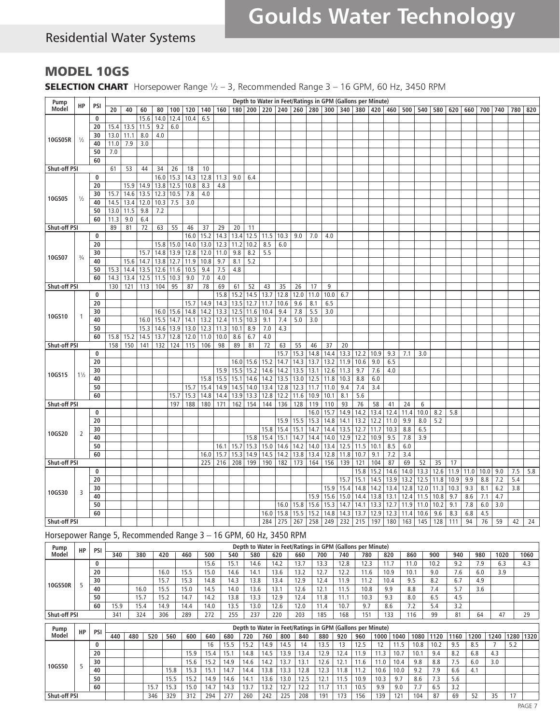# Residential Water Systems

## MODEL 10GS

SELECTION CHART Horsepower Range 1/2 - 3, Recommended Range 3 - 16 GPM, 60 Hz, 3450 RPM

| Pump                |                |          |      |      |      |      |                    |      |      |              |              |              |               |                                         |             |               |             | Depth to Water in Feet/Ratings in GPM (Gallons per Minute) |      |           |      |           |      |      |      |             |      |     |     |     |
|---------------------|----------------|----------|------|------|------|------|--------------------|------|------|--------------|--------------|--------------|---------------|-----------------------------------------|-------------|---------------|-------------|------------------------------------------------------------|------|-----------|------|-----------|------|------|------|-------------|------|-----|-----|-----|
| Model               | HP             | PSI      | 20   | 40   | 60   | 80   | 100                | 120  | 140  | 160          |              |              |               | 180   200   220   240   260   280   300 |             |               |             | 340 380 420                                                |      |           |      | 460   500 | 540  | 580  | 620  | 660         | 700  | 740 | 780 | 820 |
|                     |                | 0        |      |      | 15.6 | 14.0 | 12.4               | 10.4 | 6.5  |              |              |              |               |                                         |             |               |             |                                                            |      |           |      |           |      |      |      |             |      |     |     |     |
|                     |                | 20       | 15.4 | 13.5 | 11.5 | 9.2  | 6.0                |      |      |              |              |              |               |                                         |             |               |             |                                                            |      |           |      |           |      |      |      |             |      |     |     |     |
|                     |                | 30       | 13.0 | 11.1 | 8.0  | 4.0  |                    |      |      |              |              |              |               |                                         |             |               |             |                                                            |      |           |      |           |      |      |      |             |      |     |     |     |
| 10GS05R             | $\frac{1}{2}$  | 40       | 11.0 | 7.9  | 3.0  |      |                    |      |      |              |              |              |               |                                         |             |               |             |                                                            |      |           |      |           |      |      |      |             |      |     |     |     |
|                     |                | 50       | 7.0  |      |      |      |                    |      |      |              |              |              |               |                                         |             |               |             |                                                            |      |           |      |           |      |      |      |             |      |     |     |     |
|                     |                | 60       |      |      |      |      |                    |      |      |              |              |              |               |                                         |             |               |             |                                                            |      |           |      |           |      |      |      |             |      |     |     |     |
| Shut-off PSI        |                |          | 61   | 53   | 44   | 34   | 26                 | 18   | 10   |              |              |              |               |                                         |             |               |             |                                                            |      |           |      |           |      |      |      |             |      |     |     |     |
|                     |                | $\bf{0}$ |      |      |      | 16.0 | 15.3               | 14.3 | 12.8 | 11.3         | 9.0          | 6.4          |               |                                         |             |               |             |                                                            |      |           |      |           |      |      |      |             |      |     |     |     |
|                     |                | 20       |      | 15.9 | 14.9 | 13.8 | 12.5               | 10.8 | 8.3  | 4.8          |              |              |               |                                         |             |               |             |                                                            |      |           |      |           |      |      |      |             |      |     |     |     |
| 10GS05              | $\frac{1}{2}$  | 30       | 15.7 | 14.6 | 13.5 | 12.3 | 10.5               | 7.8  | 4.0  |              |              |              |               |                                         |             |               |             |                                                            |      |           |      |           |      |      |      |             |      |     |     |     |
|                     |                | 40       | 14.5 | 13.4 | 12.0 | 10.3 | 7.5                | 3.0  |      |              |              |              |               |                                         |             |               |             |                                                            |      |           |      |           |      |      |      |             |      |     |     |     |
|                     |                | 50       | 13.0 | 11.5 | 9.8  | 7.2  |                    |      |      |              |              |              |               |                                         |             |               |             |                                                            |      |           |      |           |      |      |      |             |      |     |     |     |
|                     |                | 60       | 11.3 | 9.0  | 6.4  |      |                    |      |      |              |              |              |               |                                         |             |               |             |                                                            |      |           |      |           |      |      |      |             |      |     |     |     |
| Shut-off PSI        |                |          | 89   | 81   | 72   | 63   | 55                 | 46   | 37   | 29           | 20           | 11           |               |                                         |             |               |             |                                                            |      |           |      |           |      |      |      |             |      |     |     |     |
|                     |                | 0        |      |      |      |      |                    | 16.0 | 15.2 | 14.3         | 13.4         | 12.5         | 11.5          | 10.3                                    | 9.0         | 7.0           | 4.0         |                                                            |      |           |      |           |      |      |      |             |      |     |     |     |
|                     |                | 20       |      |      |      |      | 15.8 15.0          | 14.0 | 13.0 | 12.3         | 11.2         | 10.2         | 8.5           | 6.0                                     |             |               |             |                                                            |      |           |      |           |      |      |      |             |      |     |     |     |
| 10GS07              | $\frac{3}{4}$  | 30       |      |      | 15.7 | 14.8 | 13.9               | 12.8 | 12.0 | 11.0         | 9.8          | 8.2          | 5.5           |                                         |             |               |             |                                                            |      |           |      |           |      |      |      |             |      |     |     |     |
|                     |                | 40       |      | 15.6 | 14.7 | 13.8 | 12.7               | 11.9 | 10.8 | 9.7          | 8.1          | 5.2          |               |                                         |             |               |             |                                                            |      |           |      |           |      |      |      |             |      |     |     |     |
|                     |                | 50       | 15.3 | 14.4 | 13.5 | 12.6 | 11.6               | 10.5 | 9.4  | 7.5          | 4.8          |              |               |                                         |             |               |             |                                                            |      |           |      |           |      |      |      |             |      |     |     |     |
|                     |                | 60       | 14.3 | 13.4 | 12.5 | 11.5 | 10.3               | 9.0  | 7.0  | 4.0          |              |              |               |                                         |             |               |             |                                                            |      |           |      |           |      |      |      |             |      |     |     |     |
| <b>Shut-off PSI</b> |                |          | 130  | 121  | 113  | 104  | 95                 | 87   | 78   | 69           | 61           | 52           | 43            | 35                                      | 26          | 17            | 9           |                                                            |      |           |      |           |      |      |      |             |      |     |     |     |
|                     |                | 0<br>20  |      |      |      |      |                    | 15.7 | 14.9 | 15.8<br>14.3 | 15.2<br>13.5 | 14.5<br>12.7 | 13.7<br>11.7  | 12.8<br>10.6                            | 12.0<br>9.6 | 11.0<br>8.1   | 10.0<br>6.5 | 6.7                                                        |      |           |      |           |      |      |      |             |      |     |     |     |
|                     |                | 30       |      |      |      |      | 16.0   15.6   14.8 |      | 14.2 | 13.3         | 12.5         | 11.6         | 10.4          | 9.4                                     | 7.8         | 5.5           | 3.0         |                                                            |      |           |      |           |      |      |      |             |      |     |     |     |
| 10GS10              | -1             | 40       |      |      | 16.0 | 15.5 | 14.7               | 14.1 | 13.2 | 12.4         | 11.5         | 10.3         | 9.1           | 7.4                                     | 5.0         | 3.0           |             |                                                            |      |           |      |           |      |      |      |             |      |     |     |     |
|                     |                | 50       |      |      | 15.3 | 14.6 | 13.9               | 13.0 | 12.3 | 11.3         | 10.1         | 8.9          | 7.0           | 4.3                                     |             |               |             |                                                            |      |           |      |           |      |      |      |             |      |     |     |     |
|                     |                | 60       | 15.8 | 15.2 | 14.5 | 13.7 | 12.8               | 12.0 | 11.0 | 10.0         | 8.6          | 6.7          | 4.0           |                                         |             |               |             |                                                            |      |           |      |           |      |      |      |             |      |     |     |     |
| Shut-off PSI        |                |          | 158  | 150  | 141  | 132  | 124                | 115  | 106  | 98           | 89           | 81           | 72            | 63                                      | 55          | 46            | 37          | 20                                                         |      |           |      |           |      |      |      |             |      |     |     |     |
|                     |                | $\bf{0}$ |      |      |      |      |                    |      |      |              |              |              |               | 15.7                                    | 15.3        | 14.8          | 14.4        | 13.3                                                       | 12.2 | 10.9      | 9.3  | 7.1       | 3.0  |      |      |             |      |     |     |     |
|                     |                | 20       |      |      |      |      |                    |      |      |              | 16.0         | 15.6         | 15.2          | 14.7                                    | 14.3        | 13.7          | 13.2        | 11.9                                                       | 10.6 | 9.0       | 6.5  |           |      |      |      |             |      |     |     |     |
|                     |                | 30       |      |      |      |      |                    |      |      | 15.9         | 15.5         | 15.2         | 14.6          | 14.2                                    | 13.5        | 13.1          | 12.6        | 11.3                                                       | 9.7  | 7.6       | 4.0  |           |      |      |      |             |      |     |     |     |
| 10GS15              | $1\frac{1}{2}$ | 40       |      |      |      |      |                    |      | 15.8 | 15.5         | 15.1         | 14.6         | 14.2          | 13.5                                    | 13.0        | 12.5          | 11.8        | 10.3                                                       | 8.8  | 6.0       |      |           |      |      |      |             |      |     |     |     |
|                     |                | 50       |      |      |      |      |                    | 15.7 | 15.4 | 14.9         | 14.5         | 14.0         | $13.4$   12.8 |                                         | 12.3        | $11.7$   11.0 |             | 9.4                                                        | 7.4  | 3.4       |      |           |      |      |      |             |      |     |     |     |
|                     |                | 60       |      |      |      |      | 15.7               | 15.3 | 14.8 | 14.4         | 13.9         | 13.3         | $12.8$   12.2 |                                         | 11.6        | $10.9$   10.1 |             | 8.1                                                        | 5.6  |           |      |           |      |      |      |             |      |     |     |     |
| Shut-off PSI        |                |          |      |      |      |      | 197                | 188  | 180  | 171          | 162          | 154          | 144           | 136                                     | 128         | 119           | 110         | 93                                                         | 76   | 58        | 41   | 24        | 6    |      |      |             |      |     |     |     |
|                     |                | 0        |      |      |      |      |                    |      |      |              |              |              |               |                                         |             | $16.0$   15.7 |             | 14.9                                                       | 14.2 | 13.4      | 12.4 | 11.4      | 10.0 | 8.2  | 5.8  |             |      |     |     |     |
|                     |                | 20       |      |      |      |      |                    |      |      |              |              |              |               | 15.9                                    | 15.5        | 15.3          | 14.8        | 14.1                                                       | 13.2 | 12.2      | 11.0 | 9.9       | 8.0  | 5.2  |      |             |      |     |     |     |
| 10GS20              | 2              | 30       |      |      |      |      |                    |      |      |              |              |              | 15.8          | 15.4                                    | 15.1        | 14.7          | 14.4        | 13.5                                                       | 12.7 | 11.7      | 10.3 | 8.8       | 6.5  |      |      |             |      |     |     |     |
|                     |                | 40       |      |      |      |      |                    |      |      |              |              | 15.8         | 15.4          | 15.1                                    | 14.7        | 14.4          | 14.0        | 12.9                                                       | 12.2 | 10.9      | 9.5  | 7.8       | 3.9  |      |      |             |      |     |     |     |
|                     |                | 50       |      |      |      |      |                    |      |      | 16.1         | 15.7         | 15.3         | 15.0          | 14.6                                    | 14.2        | 14.0          | 13.4        | 12.5                                                       | 11.5 | 10.1      | 8.5  | 6.0       |      |      |      |             |      |     |     |     |
|                     |                | 60       |      |      |      |      |                    |      | 16.0 | 15.7         | 15.3         | 14.9         | 14.5          | 14.2                                    | 13.8        | 13.4          | 12.8        | 11.8                                                       | 10.7 | 9.1       | 7.2  | 3.4       |      |      |      |             |      |     |     |     |
| <b>Shut-off PSI</b> |                |          |      |      |      |      |                    |      | 225  | 216          | 208          | 199          | 190           | 182                                     | 173         | 164           | 156         | 139                                                        | 121  | 104       | 87   | 69        | 52   | 35   | 17   |             |      |     |     |     |
|                     |                | 0        |      |      |      |      |                    |      |      |              |              |              |               |                                         |             |               |             |                                                            |      | 15.8 15.2 | 14.6 | 14.0      | 13.3 | 12.6 |      | $11.9$ 11.0 | 10.0 | 9.0 | 7.5 | 5.8 |
|                     |                | 20       |      |      |      |      |                    |      |      |              |              |              |               |                                         |             |               |             | 15.7                                                       | 15.1 | 14.5      | 13.9 | 13.2      | 12.5 | 11.8 | 10.9 | 9.9         | 8.8  | 7.2 | 5.4 |     |
| 10GS30              | 3              | 30       |      |      |      |      |                    |      |      |              |              |              |               |                                         |             |               | 15.9        | 15.4                                                       | 14.8 | 14.2      | 13.4 | 12.8      | 12.0 | 11.3 | 10.3 | 9.3         | 8.1  | 6.2 | 3.8 |     |
|                     |                | 40       |      |      |      |      |                    |      |      |              |              |              |               |                                         |             |               | 15.9 15.6   | 15.0                                                       | 14.4 | 13.8      | 13.1 | 12.4      | 11.5 | 10.8 | 9.7  | 8.6         | 7.1  | 4.7 |     |     |
|                     |                | 50       |      |      |      |      |                    |      |      |              |              |              |               | 16.0                                    | 15.8        | 15.6          | 15.3        | 14.7                                                       | 14.1 | 13.3      | 12.7 | 11.9      | 11.0 | 10.2 | 9.1  | 7.8         | 6.0  | 3.0 |     |     |
|                     |                | 60       |      |      |      |      |                    |      |      |              |              |              | 16.0          | 15.8                                    | 15.5        | 15.2          | 14.8        | 14.3                                                       | 13.7 | 12.9      | 12.3 | 11.4      | 10.6 | 9.6  | 8.3  | 6.8         | 4.5  |     |     |     |
| Shut-off PSI        |                |          |      |      |      |      |                    |      |      |              |              |              | 284           | 275                                     | 267         | 258           | 249         | 232                                                        | 215  | 197       | 180  | 163       | 145  | 128  | 111  | 94          | 76   | 59  | 42  | 24  |

### Horsepower Range 5, Recommended Range 3 – 16 GPM, 60 Hz, 3450 RPM

| Pump                | HP | <b>PSI</b> |      | Depth to Water in Feet/Ratings in GPM (Gallons per Minute)<br>540<br>380<br>860<br>940<br>500<br>700<br>740<br>780<br>820<br>980<br>420<br>460<br>660<br>900<br>1020<br>580<br>620<br>15.<br>13.7<br>7.9<br>15.6<br>12.3<br>9.2<br>14.6<br>14.2<br>-<br>13.3<br>10.2<br>12.8<br>11.7<br>6.3<br>13.2<br>7.6<br>3.9<br>14.6<br>13.6<br>12.2<br>11.6<br>10.9<br>16.0<br>15.0<br>10.7<br>14.1<br>9.0<br>6.0<br>6.7<br>5.3<br>14.3<br>12.9<br>11.2<br>9.5<br>15.7<br>13.8<br>13.4<br>8.2<br>4.9<br>12.4<br>10.4<br>14.8<br>1.9<br>3.6<br>15.5<br>10.8<br>9.9<br>5.7<br>16.0<br>15.0<br>12.6<br>14.0<br>13.6<br>13.1<br>8.8<br>14.5<br>7.4<br>1.5<br>10.3<br>13.8<br>12.4<br>9.3<br>15.7<br>15.2<br>13.3<br>12.9<br>6.5<br>4.5<br>14.7<br>14.2<br> 1.8<br>8.0 |      |      |      |      |      |      |      |              |      |     |     |     |     |     |    |  |      |
|---------------------|----|------------|------|---------------------------------------------------------------------------------------------------------------------------------------------------------------------------------------------------------------------------------------------------------------------------------------------------------------------------------------------------------------------------------------------------------------------------------------------------------------------------------------------------------------------------------------------------------------------------------------------------------------------------------------------------------------------------------------------------------------------------------------------------------|------|------|------|------|------|------|------|--------------|------|-----|-----|-----|-----|-----|----|--|------|
| Model               |    |            | 340  |                                                                                                                                                                                                                                                                                                                                                                                                                                                                                                                                                                                                                                                                                                                                                         |      |      |      |      |      |      |      |              |      |     |     |     |     |     |    |  | 1060 |
|                     |    | 0          |      |                                                                                                                                                                                                                                                                                                                                                                                                                                                                                                                                                                                                                                                                                                                                                         |      |      |      |      |      |      |      |              |      |     |     |     |     |     |    |  | 4.3  |
|                     |    | 20         |      |                                                                                                                                                                                                                                                                                                                                                                                                                                                                                                                                                                                                                                                                                                                                                         |      |      |      |      |      |      |      |              |      |     |     |     |     |     |    |  |      |
|                     |    | 30         |      |                                                                                                                                                                                                                                                                                                                                                                                                                                                                                                                                                                                                                                                                                                                                                         |      |      |      |      |      |      |      |              |      |     |     |     |     |     |    |  |      |
| 10GS50R             |    | 40         |      |                                                                                                                                                                                                                                                                                                                                                                                                                                                                                                                                                                                                                                                                                                                                                         |      |      |      |      |      |      |      |              |      |     |     |     |     |     |    |  |      |
|                     |    | 50         |      |                                                                                                                                                                                                                                                                                                                                                                                                                                                                                                                                                                                                                                                                                                                                                         |      |      |      |      |      |      |      |              |      |     |     |     |     |     |    |  |      |
|                     |    | 60         | 15.9 | 15.4                                                                                                                                                                                                                                                                                                                                                                                                                                                                                                                                                                                                                                                                                                                                                    | 14.9 | 14.4 | 14.0 | 13.5 | 13.0 | 12.6 | 12.0 | $\mathbf{1}$ | 10.7 | 9.7 | 8.6 |     | 5.4 | 3.2 |    |  |      |
| <b>Shut-off PSI</b> |    |            | 341  | 324                                                                                                                                                                                                                                                                                                                                                                                                                                                                                                                                                                                                                                                                                                                                                     | 306  | 289  | 272  | 255  | 237  | 220  | 203  | 185          | 168  | 151 | 133 | 116 | 99  | 81  | 64 |  | 29   |

| Pump                | HP | PSI |     |     |      |      |      |      |      |      |      |      |      |      |      | Depth to Water in Feet/Ratings in GPM (Gallons per Minute) |      |                 |      |      |      |      |      |      |      |
|---------------------|----|-----|-----|-----|------|------|------|------|------|------|------|------|------|------|------|------------------------------------------------------------|------|-----------------|------|------|------|------|------|------|------|
| Model               |    |     | 440 | 480 | 520  | 560  | 600  | 640  | 680  | 720  | 760  | 800  | 840  | 880  | 920  | 960                                                        | 1000 | 1040            | 1080 | 1120 | 1160 | 1200 | 1240 | 1280 | 1320 |
|                     |    |     |     |     |      |      |      | 16   | 15.5 |      |      | 14.5 |      | 13.5 |      | 12.5                                                       |      |                 | 10.8 | 10.2 | 9.5  | 8.5  |      | 5.2  |      |
|                     |    | 20  |     |     |      |      | 15.9 | 5.4  | 15.  | 14.8 | 14.5 | 13.9 | 13.4 | 12.9 | 12.4 | 1.9                                                        |      | 10.7            | 10.1 | 9.4  | 8.2  | 6.8  | 4.3  |      |      |
|                     |    | 30  |     |     |      |      | 15.6 | 15.2 | 14.9 | 14.6 | 14.2 | 13.1 |      | 12.6 |      | 1.6                                                        | 11.0 | 10.4            | 9.8  | 8.8  | 7.5  | 6.0  | 3.0  |      |      |
| 10GS50              |    | 40  |     |     |      | 15.8 | 15.3 |      | 14.7 | 14.4 | 13.8 | 13.3 | 2.8  | 12.3 | 1.8  |                                                            | 10.6 | 10.0            | 9.2  | 7.9  | 6.6  | 4.1  |      |      |      |
|                     |    | 50  |     |     |      | 15.5 | 15.2 | 14.9 | 14.6 | 14.  | 3.6  | 13.0 | 12.5 | 12.7 |      | 10.9                                                       | 10.3 | 9.7             | 8.6  | 7.3  | 5.6  |      |      |      |      |
|                     |    | 60  |     |     | 15.7 |      | 15.0 | 14.7 | 14.3 |      |      | 12.  |      |      |      | 10.5                                                       | 9.9  | 9.0             | 7.7  | 6.5  | 3.2  |      |      |      |      |
| <b>Shut-off PSI</b> |    |     |     |     | 346  | 329  | 312  | 294  | 277  | 260  | 242  | 225  | 208  | 191  | 173  | 156                                                        | 139  | 12 <sup>1</sup> | 104  | 87   | 69   |      | २५   |      |      |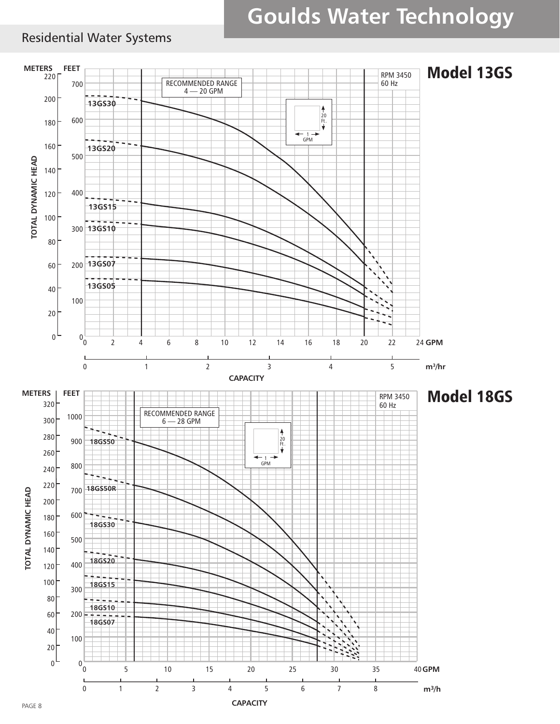### Residential Water Systems

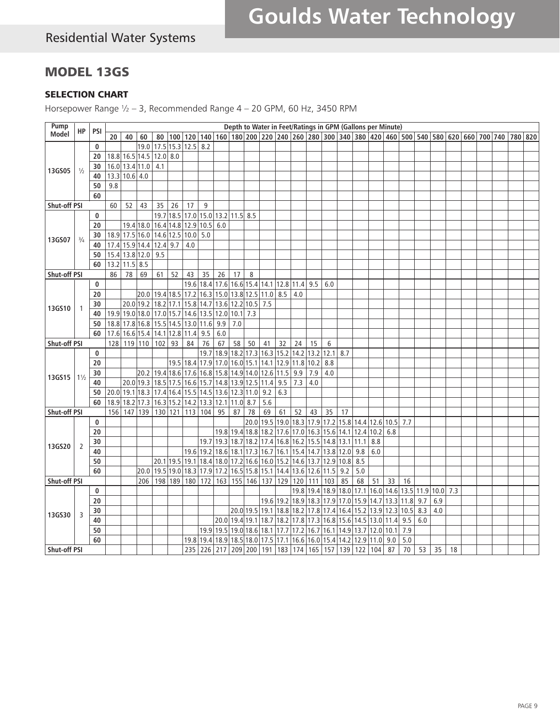# MODEL 13GS

#### SELECTION CHART

Horsepower Range ½ – 3, Recommended Range 4 – 20 GPM, 60 Hz, 3450 RPM

| Pump         |                |            |     |                 |      |                                    |                |             |      |                                                                              |     |                |                          |           |                  |           | Depth to Water in Feet/Ratings in GPM (Gallons per Minute)  |      |                                                                                      |     |      |           |     |     |     |  |                                                                                                 |  |
|--------------|----------------|------------|-----|-----------------|------|------------------------------------|----------------|-------------|------|------------------------------------------------------------------------------|-----|----------------|--------------------------|-----------|------------------|-----------|-------------------------------------------------------------|------|--------------------------------------------------------------------------------------|-----|------|-----------|-----|-----|-----|--|-------------------------------------------------------------------------------------------------|--|
| <b>Model</b> | HP             | <b>PSI</b> | 20  | 40              | 60   | 80                                 |                |             |      |                                                                              |     |                |                          |           |                  |           |                                                             |      |                                                                                      |     |      |           |     |     |     |  | 100 120 140 160 160 200 220 240 260 280 300 340 380 420 460 500 540 580 620 660 700 740 780 820 |  |
|              |                | 0          |     |                 | 19.0 | 17.5                               |                | $15.3$ 12.5 | 8.2  |                                                                              |     |                |                          |           |                  |           |                                                             |      |                                                                                      |     |      |           |     |     |     |  |                                                                                                 |  |
|              |                | 20         |     | 18.8 16.5 14.5  |      | $12.0$ 8.0                         |                |             |      |                                                                              |     |                |                          |           |                  |           |                                                             |      |                                                                                      |     |      |           |     |     |     |  |                                                                                                 |  |
|              |                | 30         |     | 16.0 13.4 11.0  |      | 4.1                                |                |             |      |                                                                              |     |                |                          |           |                  |           |                                                             |      |                                                                                      |     |      |           |     |     |     |  |                                                                                                 |  |
| 13GS05       | $\frac{1}{2}$  | 40         |     | 13.3 10.6 4.0   |      |                                    |                |             |      |                                                                              |     |                |                          |           |                  |           |                                                             |      |                                                                                      |     |      |           |     |     |     |  |                                                                                                 |  |
|              |                | 50         | 9.8 |                 |      |                                    |                |             |      |                                                                              |     |                |                          |           |                  |           |                                                             |      |                                                                                      |     |      |           |     |     |     |  |                                                                                                 |  |
|              |                | 60         |     |                 |      |                                    |                |             |      |                                                                              |     |                |                          |           |                  |           |                                                             |      |                                                                                      |     |      |           |     |     |     |  |                                                                                                 |  |
| Shut-off PSI |                |            | 60  | 52              | 43   | 35                                 | 26             | 17          | 9    |                                                                              |     |                |                          |           |                  |           |                                                             |      |                                                                                      |     |      |           |     |     |     |  |                                                                                                 |  |
|              |                | 0          |     |                 |      | 19.7                               | 18.5 17.0      |             |      | 15.0 13.2 11.5 8.5                                                           |     |                |                          |           |                  |           |                                                             |      |                                                                                      |     |      |           |     |     |     |  |                                                                                                 |  |
|              |                | 20         |     | 19.4 18.0       |      | 16.4 14.8 12.9                     |                |             | 10.5 | 6.0                                                                          |     |                |                          |           |                  |           |                                                             |      |                                                                                      |     |      |           |     |     |     |  |                                                                                                 |  |
|              |                |            |     | 18.9 17.5 16.0  |      | 14.6 12.5 10.0                     |                |             | 5.0  |                                                                              |     |                |                          |           |                  |           |                                                             |      |                                                                                      |     |      |           |     |     |     |  |                                                                                                 |  |
| 13GS07       | $\frac{3}{4}$  | 30         |     |                 |      |                                    |                |             |      |                                                                              |     |                |                          |           |                  |           |                                                             |      |                                                                                      |     |      |           |     |     |     |  |                                                                                                 |  |
|              |                | 40         |     | 17.4 15.9 14.4  |      | $12.4$ 9.7                         |                | 4.0         |      |                                                                              |     |                |                          |           |                  |           |                                                             |      |                                                                                      |     |      |           |     |     |     |  |                                                                                                 |  |
|              |                | 50         |     | 15.4 13.8 12.0  |      | 9.5                                |                |             |      |                                                                              |     |                |                          |           |                  |           |                                                             |      |                                                                                      |     |      |           |     |     |     |  |                                                                                                 |  |
|              |                | 60         |     | $13.2$ 11.5 8.5 |      |                                    |                |             |      |                                                                              |     |                |                          |           |                  |           |                                                             |      |                                                                                      |     |      |           |     |     |     |  |                                                                                                 |  |
| Shut-off PSI |                |            | 86  | 78              | 69   | 61                                 | 52             | 43          | 35   | 26                                                                           | 17  | 8              |                          |           |                  |           |                                                             |      |                                                                                      |     |      |           |     |     |     |  |                                                                                                 |  |
|              |                | 0          |     |                 |      |                                    |                | 19.6        | 18.4 | $17.6$ 16.6 15.4 14.1 12.8 11.4 9.5                                          |     |                |                          |           |                  |           | 6.0                                                         |      |                                                                                      |     |      |           |     |     |     |  |                                                                                                 |  |
|              |                | 20         |     |                 |      | 20.0 19.4 18.5 17.2                |                |             | 16.3 | $15.0$ 13.8 12.5 11.0 8.5                                                    |     |                |                          |           | 4.0              |           |                                                             |      |                                                                                      |     |      |           |     |     |     |  |                                                                                                 |  |
| 13GS10       |                | 30         |     | 20.0 19.2       |      |                                    | 18.2 17.1 15.8 |             | 14.7 | 13.6 12.2 10.5 7.5                                                           |     |                |                          |           |                  |           |                                                             |      |                                                                                      |     |      |           |     |     |     |  |                                                                                                 |  |
|              |                | 40         |     | 19.9 19.0 18.0  |      | 17.0 15.7 14.6                     |                |             |      | 13.5 12.0 10.1                                                               |     | 7.3            |                          |           |                  |           |                                                             |      |                                                                                      |     |      |           |     |     |     |  |                                                                                                 |  |
|              |                | 50         |     | 18.8 17.8 16.8  |      | 15.5 14.5 13.0                     |                |             | 11.6 | 9.9                                                                          | 7.0 |                |                          |           |                  |           |                                                             |      |                                                                                      |     |      |           |     |     |     |  |                                                                                                 |  |
|              |                | 60         |     |                 |      | 17.6 16.6 15.4 14.1 12.8 11.4      |                |             | 9.5  | 6.0                                                                          |     |                |                          |           |                  |           |                                                             |      |                                                                                      |     |      |           |     |     |     |  |                                                                                                 |  |
| Shut-off PSI |                |            | 128 | 119 110         |      | 102                                | 93             | 84          | 76   | 67                                                                           | 58  | 50             | 41                       | 32        | 24               | 15        | 6                                                           |      |                                                                                      |     |      |           |     |     |     |  |                                                                                                 |  |
|              |                | 0          |     |                 |      |                                    |                |             | 19.7 |                                                                              |     | 18.9 18.2 17.3 | 16.3 15.2                |           | $14.2$           | 13.2 12.1 |                                                             | 8.7  |                                                                                      |     |      |           |     |     |     |  |                                                                                                 |  |
|              |                | 20         |     |                 |      |                                    |                | 19.5 18.4   |      | $\left  17.9 \right  17.0 \left  16.0 \right  15.1 \left  14.1 \right  12.9$ |     |                |                          |           | 11.8 10.2        |           | 8.8                                                         |      |                                                                                      |     |      |           |     |     |     |  |                                                                                                 |  |
| 13GS15       | $1\frac{1}{2}$ | 30         |     |                 | 20.2 |                                    | 19.4 18.6      | 17.6        |      | 16.8 15.8 14.9 14.0 12.6 11.5                                                |     |                |                          |           | 9.9              | 7.9       | 4.0                                                         |      |                                                                                      |     |      |           |     |     |     |  |                                                                                                 |  |
|              |                | 40         |     | 20.0 19.3       |      | 18.5 17.5 16.6                     |                |             |      | 15.7 14.8 13.9 12.5 11.4 9.5                                                 |     |                |                          |           | 7.3              | 4.0       |                                                             |      |                                                                                      |     |      |           |     |     |     |  |                                                                                                 |  |
|              |                | 50         |     | 20.0 19.1 18.3  |      | 17.4 16.4 15.5 14.5 13.6 12.3 11.0 |                |             |      |                                                                              |     |                | 9.2                      | 6.3       |                  |           |                                                             |      |                                                                                      |     |      |           |     |     |     |  |                                                                                                 |  |
|              |                | 60         |     | 18.9 18.2 17.3  |      | 16.3 15.2 14.2                     |                |             |      | 13.3 12.1 11.0                                                               |     | 8.7            | 5.6                      |           |                  |           |                                                             |      |                                                                                      |     |      |           |     |     |     |  |                                                                                                 |  |
| Shut-off PSI |                |            | 156 | 147 139         |      |                                    | 130 121 113    |             | 104  | 95                                                                           | 87  | 78             | 69                       | 61        | 52               | 43        | 35                                                          | 17   |                                                                                      |     |      |           |     |     |     |  |                                                                                                 |  |
|              |                | 0          |     |                 |      |                                    |                |             |      |                                                                              |     | 20.0           |                          |           |                  |           | 19.5  19.0  18.3  17.9  17.2  15.8  14.4  12.6   10.5   7.7 |      |                                                                                      |     |      |           |     |     |     |  |                                                                                                 |  |
|              |                | 20         |     |                 |      |                                    |                |             |      |                                                                              |     |                | 19.8 19.4 18.8 18.2 17.6 |           |                  |           | 17.0 16.3 15.6                                              | 14.1 | 12.4 10.2                                                                            |     | 6.8  |           |     |     |     |  |                                                                                                 |  |
|              |                | 30         |     |                 |      |                                    |                |             | 19.7 |                                                                              |     |                |                          |           |                  |           | 19.3 18.7 18.2 17.4 16.8 16.2 15.5 14.8                     | 13.1 | 11.1 8.8                                                                             |     |      |           |     |     |     |  |                                                                                                 |  |
| 13GS20       | 2              | 40         |     |                 |      |                                    |                | 19.6   19.2 |      |                                                                              |     |                |                          |           |                  |           | 18.6 18.1 17.3 16.7 16.1 15.4 14.7 13.8 12.0                |      | 9.8                                                                                  | 6.0 |      |           |     |     |     |  |                                                                                                 |  |
|              |                | 50         |     |                 |      |                                    | 20.1 19.5 19.1 |             |      | $ 18.4 18.0 17.2 16.6 16.0 15.2 14.6 13.7 12.9 $                             |     |                |                          |           |                  |           |                                                             | 10.8 | 8.5                                                                                  |     |      |           |     |     |     |  |                                                                                                 |  |
|              |                | 60         |     |                 | 20.0 |                                    | 19.5 19.0      | 18.3        |      | 17.9 17.2 16.5 15.8 15.1 14.4                                                |     |                |                          |           | 13.6 12.6 11.5   |           |                                                             | 9.2  | 5.0                                                                                  |     |      |           |     |     |     |  |                                                                                                 |  |
| Shut-off PSI |                |            |     |                 | 206  | 198                                | 189            | 180         | 172  |                                                                              |     | 163 155 146    | 137   129                |           | 120              | 111   103 |                                                             | 85   | 68                                                                                   | 51  | 33   | 16        |     |     |     |  |                                                                                                 |  |
|              |                | 0          |     |                 |      |                                    |                |             |      |                                                                              |     |                |                          |           |                  |           | 19.8 19.4 18.9 18.0                                         |      | $\left  17.1 \right  16.0 \left  14.6 \right  13.5 \left  11.9 \right  10.0 \right $ |     |      |           |     |     | 7.3 |  |                                                                                                 |  |
|              |                | 20         |     |                 |      |                                    |                |             |      |                                                                              |     |                |                          | 19.6 19.2 |                  |           | 18.9 18.3 17.9                                              | 17.0 | 15.9 14.7                                                                            |     |      | 13.3 11.8 | 9.7 | 6.9 |     |  |                                                                                                 |  |
|              |                | 30         |     |                 |      |                                    |                |             |      |                                                                              |     |                |                          |           |                  |           | 20.0 19.5 19.1 18.8 18.2 17.8 17.4                          | 16.4 | 15.2 13.9 12.3 10.5                                                                  |     |      |           | 8.3 | 4.0 |     |  |                                                                                                 |  |
| 13GS30       | 3              | 40         |     |                 |      |                                    |                |             |      |                                                                              |     |                |                          |           |                  |           | 20.0 19.4 19.1 18.7 18.2 17.8 17.3 16.8 15.6                |      | $14.5$ 13.0 11.4                                                                     |     |      | 9.5       | 6.0 |     |     |  |                                                                                                 |  |
|              |                | 50         |     |                 |      |                                    |                |             | 19.9 | 19.5 19.0 18.6 18.1 17.7                                                     |     |                |                          |           | $17.2$ 16.7 16.1 |           |                                                             |      | 14.9 13.7 12.0                                                                       |     | 10.1 | 7.9       |     |     |     |  |                                                                                                 |  |
|              |                | 60         |     |                 |      |                                    |                | 19.8        | 19.4 |                                                                              |     |                |                          |           |                  |           | 18.9 18.5 18.0 17.5 17.1 16.6 16.0 15.4 14.2                |      | 12.9 11.0                                                                            |     | 9.0  | 5.0       |     |     |     |  |                                                                                                 |  |
| Shut-off PSI |                |            |     |                 |      |                                    |                |             |      |                                                                              |     |                |                          |           |                  |           | 235 226 217 209 200 191 183 174 165 157 139 122             |      |                                                                                      | 104 | 87   | 70        | 53  | 35  | 18  |  |                                                                                                 |  |
|              |                |            |     |                 |      |                                    |                |             |      |                                                                              |     |                |                          |           |                  |           |                                                             |      |                                                                                      |     |      |           |     |     |     |  |                                                                                                 |  |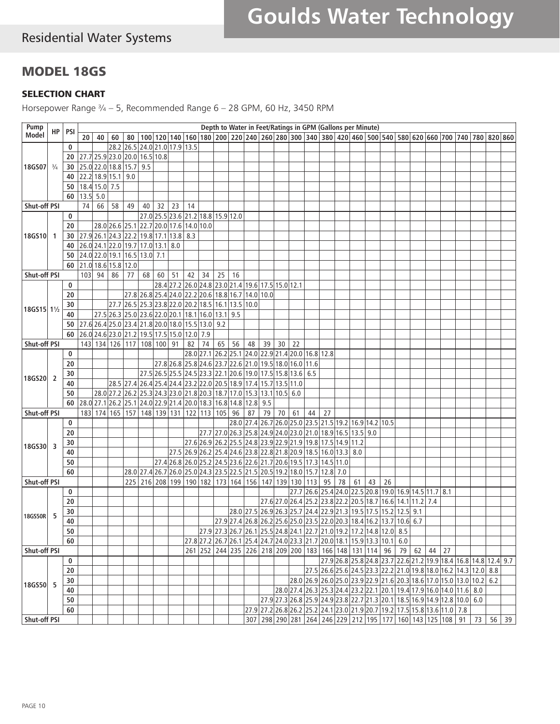# Residential Water Systems

# MODEL 18GS

#### SELECTION CHART

Horsepower Range  $\frac{3}{4}$  – 5, Recommended Range 6 – 28 GPM, 60 Hz, 3450 RPM

| Pump<br>Model                         |               | $HP$   PSI | Depth to Water in Feet/Ratings in GPM (Gallons per Minute) |     |                         |    |                                                                  |    |                                    |                 |    |                |    |    |     |                                                                      |    |    |                                                                                             |    |    |    |    |  |  |  |  |  |  |                                                                                                                                                          |  |
|---------------------------------------|---------------|------------|------------------------------------------------------------|-----|-------------------------|----|------------------------------------------------------------------|----|------------------------------------|-----------------|----|----------------|----|----|-----|----------------------------------------------------------------------|----|----|---------------------------------------------------------------------------------------------|----|----|----|----|--|--|--|--|--|--|----------------------------------------------------------------------------------------------------------------------------------------------------------|--|
|                                       |               |            | 20 <sub>1</sub>                                            | 40  | 60                      |    |                                                                  |    |                                    |                 |    |                |    |    |     |                                                                      |    |    |                                                                                             |    |    |    |    |  |  |  |  |  |  | 80   100   120   140   160   180   200   220   240   260   280   300   340   380   420   460   500   540   580   620   660   700   740   780   820   860 |  |
|                                       |               | 0          |                                                            |     |                         |    | 28.2 26.5 24.0 21.0 17.9 13.5                                    |    |                                    |                 |    |                |    |    |     |                                                                      |    |    |                                                                                             |    |    |    |    |  |  |  |  |  |  |                                                                                                                                                          |  |
|                                       |               | 20         |                                                            |     |                         |    | 27.7 25.9 23.0 20.0 16.5 10.8                                    |    |                                    |                 |    |                |    |    |     |                                                                      |    |    |                                                                                             |    |    |    |    |  |  |  |  |  |  |                                                                                                                                                          |  |
| 18GS07                                | $\frac{3}{4}$ | 30         |                                                            |     | 25.0 22.0 18.8 15.7 9.5 |    |                                                                  |    |                                    |                 |    |                |    |    |     |                                                                      |    |    |                                                                                             |    |    |    |    |  |  |  |  |  |  |                                                                                                                                                          |  |
|                                       |               | 40         |                                                            |     | 22.2 18.9 15.1 9.0      |    |                                                                  |    |                                    |                 |    |                |    |    |     |                                                                      |    |    |                                                                                             |    |    |    |    |  |  |  |  |  |  |                                                                                                                                                          |  |
|                                       |               | 50         | 18.4 15.0 7.5                                              |     |                         |    |                                                                  |    |                                    |                 |    |                |    |    |     |                                                                      |    |    |                                                                                             |    |    |    |    |  |  |  |  |  |  |                                                                                                                                                          |  |
|                                       |               | 60         | 13.5                                                       | 5.0 |                         |    |                                                                  |    |                                    |                 |    |                |    |    |     |                                                                      |    |    |                                                                                             |    |    |    |    |  |  |  |  |  |  |                                                                                                                                                          |  |
| Shut-off PSI                          |               |            | 74                                                         | 66  | 58                      | 49 | 40                                                               | 32 | 23                                 | 14              |    |                |    |    |     |                                                                      |    |    |                                                                                             |    |    |    |    |  |  |  |  |  |  |                                                                                                                                                          |  |
|                                       |               | 0          |                                                            |     |                         |    |                                                                  |    | 27.0 25.5 23.6 21.2 18.8 15.9 12.0 |                 |    |                |    |    |     |                                                                      |    |    |                                                                                             |    |    |    |    |  |  |  |  |  |  |                                                                                                                                                          |  |
| 18GS10                                |               | 20         |                                                            |     |                         |    | 28.0 26.6 25.1 22.7 20.0 17.6 14.0 10.0                          |    |                                    |                 |    |                |    |    |     |                                                                      |    |    |                                                                                             |    |    |    |    |  |  |  |  |  |  |                                                                                                                                                          |  |
|                                       | -1            | 30         | $27.9$ 26.1 24.3 22.2 19.8 17.1 13.8 8.3                   |     |                         |    |                                                                  |    |                                    |                 |    |                |    |    |     |                                                                      |    |    |                                                                                             |    |    |    |    |  |  |  |  |  |  |                                                                                                                                                          |  |
|                                       |               | 40         |                                                            |     |                         |    | 26.0 24.1 22.0 19.7 17.0 13.1 8.0                                |    |                                    |                 |    |                |    |    |     |                                                                      |    |    |                                                                                             |    |    |    |    |  |  |  |  |  |  |                                                                                                                                                          |  |
|                                       |               | 50         |                                                            |     |                         |    | 24.0 22.0 19.1 16.5 13.0 7.1                                     |    |                                    |                 |    |                |    |    |     |                                                                      |    |    |                                                                                             |    |    |    |    |  |  |  |  |  |  |                                                                                                                                                          |  |
|                                       |               | 60         |                                                            |     | 21.0 18.6 15.8 12.0     |    |                                                                  |    |                                    |                 |    |                |    |    |     |                                                                      |    |    |                                                                                             |    |    |    |    |  |  |  |  |  |  |                                                                                                                                                          |  |
| Shut-off PSI                          |               |            | 103                                                        | 94  | 86                      | 77 | 68                                                               | 60 | 51                                 | 42              | 34 | 25             | 16 |    |     |                                                                      |    |    |                                                                                             |    |    |    |    |  |  |  |  |  |  |                                                                                                                                                          |  |
|                                       |               | 0          |                                                            |     |                         |    |                                                                  |    |                                    |                 |    |                |    |    |     | 28.4 27.2 26.0 24.8 23.0 21.4 19.6 17.5 15.0 12.1                    |    |    |                                                                                             |    |    |    |    |  |  |  |  |  |  |                                                                                                                                                          |  |
|                                       |               | 20         |                                                            |     |                         |    | 27.8 26.8 25.4 24.0 22.2 20.6 18.8 16.7 14.0 10.0                |    |                                    |                 |    |                |    |    |     |                                                                      |    |    |                                                                                             |    |    |    |    |  |  |  |  |  |  |                                                                                                                                                          |  |
|                                       |               |            |                                                            |     | 27.7                    |    | $[26.5]$ 25.3 $[23.8]$ 22.0 $[20.2]$ 18.5 $[16.1]$ 13.5 $[10.0]$ |    |                                    |                 |    |                |    |    |     |                                                                      |    |    |                                                                                             |    |    |    |    |  |  |  |  |  |  |                                                                                                                                                          |  |
| 18GS15 11 <sup>1</sup> / <sub>2</sub> |               | 30         |                                                            |     |                         |    | 27.5 26.3 25.0 23.6 22.0 20.1 18.1 16.0 13.1 9.5                 |    |                                    |                 |    |                |    |    |     |                                                                      |    |    |                                                                                             |    |    |    |    |  |  |  |  |  |  |                                                                                                                                                          |  |
|                                       |               | 40         |                                                            |     |                         |    |                                                                  |    |                                    |                 |    |                |    |    |     |                                                                      |    |    |                                                                                             |    |    |    |    |  |  |  |  |  |  |                                                                                                                                                          |  |
|                                       |               | 50         | $[27.6]26.4]25.0[23.4]21.8[20.0]18.0[15.5]13.0]9.2$        |     |                         |    | 26.0 24.6 23.0 21.2 19.5 17.5 15.0 12.0 7.9                      |    |                                    |                 |    |                |    |    |     |                                                                      |    |    |                                                                                             |    |    |    |    |  |  |  |  |  |  |                                                                                                                                                          |  |
|                                       |               | 60         |                                                            |     |                         |    |                                                                  |    |                                    |                 | 74 |                |    |    |     |                                                                      |    |    |                                                                                             |    |    |    |    |  |  |  |  |  |  |                                                                                                                                                          |  |
| Shut-off PSI                          |               |            |                                                            |     |                         |    | 143 134 126 117 108 100 91                                       |    |                                    | 82<br>28.0 27.1 |    | 65             | 56 | 48 | 39  | 30<br>26.2 25.1 24.0 22.9 21.4 20.0 16.8 12.8                        | 22 |    |                                                                                             |    |    |    |    |  |  |  |  |  |  |                                                                                                                                                          |  |
| 18GS20                                |               | 0          |                                                            |     |                         |    |                                                                  |    |                                    |                 |    |                |    |    |     | 27.8 26.8 25.8 24.6 23.7 22.6 21.0 19.5 18.0 16.0 11.6               |    |    |                                                                                             |    |    |    |    |  |  |  |  |  |  |                                                                                                                                                          |  |
|                                       |               | 20         |                                                            |     |                         |    |                                                                  |    |                                    |                 |    |                |    |    |     |                                                                      |    |    |                                                                                             |    |    |    |    |  |  |  |  |  |  |                                                                                                                                                          |  |
|                                       | 2             | 30         |                                                            |     |                         |    |                                                                  |    |                                    |                 |    |                |    |    |     | 27.5 26.5 25.5 24.5 23.3 22.1 20.6 19.0 17.5 15.8 13.6 6.5           |    |    |                                                                                             |    |    |    |    |  |  |  |  |  |  |                                                                                                                                                          |  |
|                                       |               | 40         |                                                            |     |                         |    |                                                                  |    |                                    |                 |    |                |    |    |     | 28.5 27.4 26.4 25.4 24.4 23.2 22.0 20.5 18.9 17.4 15.7 13.5 11.0     |    |    |                                                                                             |    |    |    |    |  |  |  |  |  |  |                                                                                                                                                          |  |
|                                       |               | 50         |                                                            |     |                         |    |                                                                  |    |                                    |                 |    |                |    |    |     | 28.0 27.2 26.2 25.3 24.3 23.0 21.8 20.3 18.7 17.0 15.3 13.1 10.5 6.0 |    |    |                                                                                             |    |    |    |    |  |  |  |  |  |  |                                                                                                                                                          |  |
|                                       |               | 60         |                                                            |     |                         |    | 28.0 27.1 26.2 25.1 24.0 22.9 21.4 20.0 18.3 16.8 14.8 12.8      |    |                                    |                 |    |                |    |    | 9.5 |                                                                      |    |    |                                                                                             |    |    |    |    |  |  |  |  |  |  |                                                                                                                                                          |  |
| Shut-off PSI                          |               |            | 183                                                        |     |                         |    | 174   165   157   148   139   131                                |    |                                    |                 |    | 122 113 105 96 |    | 87 | 79  | 70                                                                   | 61 | 44 | 27                                                                                          |    |    |    |    |  |  |  |  |  |  |                                                                                                                                                          |  |
|                                       |               | 0          |                                                            |     |                         |    |                                                                  |    |                                    |                 |    |                |    |    |     |                                                                      |    |    | 28.0 27.4 26.7 26.0 25.0 23.5 21.5 19.2 16.9 14.2 10.5                                      |    |    |    |    |  |  |  |  |  |  |                                                                                                                                                          |  |
|                                       |               | 20         |                                                            |     |                         |    |                                                                  |    |                                    |                 |    |                |    |    |     |                                                                      |    |    | 27.7 27.0 26.3 25.8 24.9 24.0 23.0 21.0 18.9 16.5 13.5 9.0                                  |    |    |    |    |  |  |  |  |  |  |                                                                                                                                                          |  |
| 18GS30                                | 3             | 30         |                                                            |     |                         |    |                                                                  |    |                                    |                 |    |                |    |    |     |                                                                      |    |    | 27.6 26.9 26.2 25.5 24.8 23.9 22.9 21.9 19.8 17.5 14.9 11.2                                 |    |    |    |    |  |  |  |  |  |  |                                                                                                                                                          |  |
|                                       |               | 40         |                                                            |     |                         |    |                                                                  |    |                                    |                 |    |                |    |    |     |                                                                      |    |    | 27.5 26.9 26.2 25.4 24.6 23.8 22.8 21.8 20.9 18.5 16.0 13.3 8.0                             |    |    |    |    |  |  |  |  |  |  |                                                                                                                                                          |  |
|                                       |               | 50         |                                                            |     |                         |    |                                                                  |    |                                    |                 |    |                |    |    |     |                                                                      |    |    | 27.4 26.8 26.0 25.2 24.5 23.6 22.6 21.7 20.6 19.5 17.3 14.5 11.0                            |    |    |    |    |  |  |  |  |  |  |                                                                                                                                                          |  |
|                                       |               | 60         |                                                            |     |                         |    |                                                                  |    |                                    |                 |    |                |    |    |     |                                                                      |    |    | 28.0 27.4 26.7 26.0 25.0 24.3 23.5 22.5 21.5 20.5 19.2 18.0 15.7 12.8 7.0                   |    |    |    |    |  |  |  |  |  |  |                                                                                                                                                          |  |
| Shut-off PSI                          |               |            |                                                            |     |                         |    |                                                                  |    |                                    |                 |    |                |    |    |     | 225 216 208 199 190 182 173 164 156 147 139 130 113                  |    |    | 95                                                                                          | 78 | 61 | 43 | 26 |  |  |  |  |  |  |                                                                                                                                                          |  |
|                                       |               | 0          |                                                            |     |                         |    |                                                                  |    |                                    |                 |    |                |    |    |     |                                                                      |    |    | 27.7 26.6 25.4 24.0 22.5 20.8 19.0 16.9 14.5 11.7 8.1                                       |    |    |    |    |  |  |  |  |  |  |                                                                                                                                                          |  |
|                                       |               | 20         |                                                            |     |                         |    |                                                                  |    |                                    |                 |    |                |    |    |     |                                                                      |    |    | 27.6 27.0 26.4 25.2 23.8 22.2 20.5 18.7 16.6 14.1 11.2 7.4                                  |    |    |    |    |  |  |  |  |  |  |                                                                                                                                                          |  |
| 18GS50R                               | 5             | 30         |                                                            |     |                         |    |                                                                  |    |                                    |                 |    |                |    |    |     |                                                                      |    |    | 28.0 27.5 26.9 26.3 25.7 24.4 22.9 21.3 19.5 17.5 15.2 12.5 9.1                             |    |    |    |    |  |  |  |  |  |  |                                                                                                                                                          |  |
|                                       |               | 40         |                                                            |     |                         |    |                                                                  |    |                                    |                 |    |                |    |    |     |                                                                      |    |    | 27.9 27.4 26.8 26.2 25.6 25.0 23.5 22.0 20.3 18.4 16.2 13.7 10.6 6.7                        |    |    |    |    |  |  |  |  |  |  |                                                                                                                                                          |  |
|                                       |               | ${\bf 50}$ |                                                            |     |                         |    |                                                                  |    |                                    |                 |    |                |    |    |     |                                                                      |    |    | 27.9 27.3 26.7 26.1 25.5 24.8 24.1 22.7 21.0 19.2 17.2 14.8 12.0 8.5                        |    |    |    |    |  |  |  |  |  |  |                                                                                                                                                          |  |
|                                       |               | 60         |                                                            |     |                         |    |                                                                  |    |                                    |                 |    |                |    |    |     |                                                                      |    |    | 27.8 27.2 26.7 26.1 25.4 24.7 24.0 23.3 21.7 20.0 18.1 15.9 13.3 10.1 6.0                   |    |    |    |    |  |  |  |  |  |  |                                                                                                                                                          |  |
| Shut-off PSI                          |               |            |                                                            |     |                         |    |                                                                  |    |                                    |                 |    |                |    |    |     |                                                                      |    |    | 261 252 244 235 226 218 209 200 183 166 148 131 114 96 79 62 44 27                          |    |    |    |    |  |  |  |  |  |  |                                                                                                                                                          |  |
|                                       |               | 0          |                                                            |     |                         |    |                                                                  |    |                                    |                 |    |                |    |    |     |                                                                      |    |    |                                                                                             |    |    |    |    |  |  |  |  |  |  | 27.9 26.8 25.8 24.8 23.7 22.6 21.2 19.9 18.4 16.8 14.8 12.4 9.7                                                                                          |  |
|                                       |               | 20         |                                                            |     |                         |    |                                                                  |    |                                    |                 |    |                |    |    |     |                                                                      |    |    | $[27.5]26.6]25.6[24.5]23.3[22.2]21.0[19.8]18.0[16.2]14.3[12.0]8.8$                          |    |    |    |    |  |  |  |  |  |  |                                                                                                                                                          |  |
| 18GS50 5                              |               | $30\,$     |                                                            |     |                         |    |                                                                  |    |                                    |                 |    |                |    |    |     |                                                                      |    |    | 28.0 26.9 26.0 25.0 23.9 22.9 21.6 20.3 18.6 17.0 15.0 13.0 10.2 6.2                        |    |    |    |    |  |  |  |  |  |  |                                                                                                                                                          |  |
|                                       |               | 40         |                                                            |     |                         |    |                                                                  |    |                                    |                 |    |                |    |    |     |                                                                      |    |    | 28.0 27.4 26.3 25.3 24.4 23.2 22.1 20.1 19.4 17.9 16.0 14.0 11.6 8.0                        |    |    |    |    |  |  |  |  |  |  |                                                                                                                                                          |  |
|                                       |               | 50         |                                                            |     |                         |    |                                                                  |    |                                    |                 |    |                |    |    |     |                                                                      |    |    | 27.9 27.3 26.8 25.9 24.9 23.8 22.7 21.3 20.1 18.5 16.9 14.9 12.8 10.0 6.0                   |    |    |    |    |  |  |  |  |  |  |                                                                                                                                                          |  |
|                                       |               | 60         |                                                            |     |                         |    |                                                                  |    |                                    |                 |    |                |    |    |     |                                                                      |    |    | 27.9 27.2 26.8 26.2 25.2 24.1 23.0 21.9 20.7 19.2 17.5 15.8 13.6 11.0 7.8                   |    |    |    |    |  |  |  |  |  |  |                                                                                                                                                          |  |
| Shut-off PSI                          |               |            |                                                            |     |                         |    |                                                                  |    |                                    |                 |    |                |    |    |     |                                                                      |    |    | 307   298   290   281   264   246   229   212   195   177   160   143   125   108   91   73 |    |    |    |    |  |  |  |  |  |  | $56 \mid 39$                                                                                                                                             |  |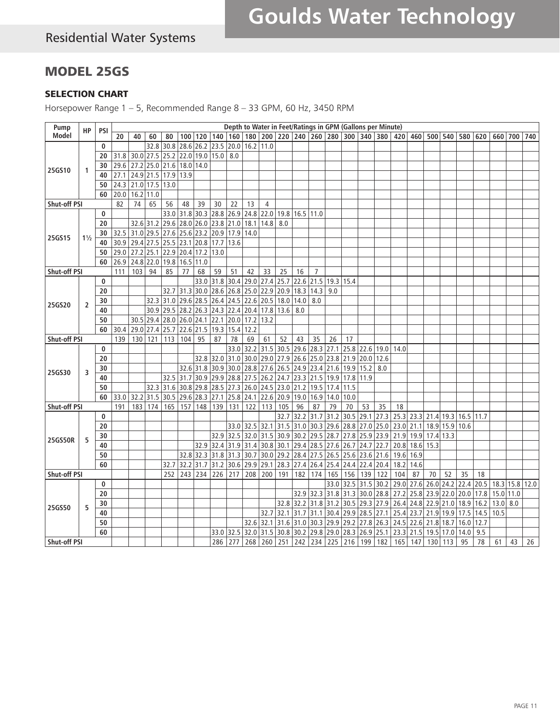## MODEL 25GS

#### SELECTION CHART

Horsepower Range 1 – 5, Recommended Range 8 – 33 GPM, 60 Hz, 3450 RPM

| Pump<br>Model       | HP             | <b>PSI</b> |      |             |                |                |           |                                                                                                                 |      |                     |      |                | Depth to Water in Feet/Ratings in GPM (Gallons per Minute)          |             |                  |                     |                     |             |      |             |             |                          |                |                               |                   |           |                |    |
|---------------------|----------------|------------|------|-------------|----------------|----------------|-----------|-----------------------------------------------------------------------------------------------------------------|------|---------------------|------|----------------|---------------------------------------------------------------------|-------------|------------------|---------------------|---------------------|-------------|------|-------------|-------------|--------------------------|----------------|-------------------------------|-------------------|-----------|----------------|----|
|                     |                |            | 20   | 40          | 60             | 80             |           | 100   120   140   160   180   200   220   240   260   280   300   340   380   420   460   500   540   580   620 |      |                     |      |                |                                                                     |             |                  |                     |                     |             |      |             |             |                          |                |                               |                   |           | 660 700 740    |    |
| 25GS10              |                | 0          |      |             | 32.8           | 30.8           | 28.6      | 26.2 23.5 20.0 16.2 11.0                                                                                        |      |                     |      |                |                                                                     |             |                  |                     |                     |             |      |             |             |                          |                |                               |                   |           |                |    |
|                     |                | 20         | 31.8 |             | 30.0 27.5 25.2 |                |           | 22.0 19.0 15.0 8.0                                                                                              |      |                     |      |                |                                                                     |             |                  |                     |                     |             |      |             |             |                          |                |                               |                   |           |                |    |
|                     | 1              | 30         | 29.6 |             |                | 27.2 25.0 21.6 |           | 18.0 14.0                                                                                                       |      |                     |      |                |                                                                     |             |                  |                     |                     |             |      |             |             |                          |                |                               |                   |           |                |    |
|                     |                | 40         | 27.1 |             | 24.9 21.5 17.9 |                | 13.9      |                                                                                                                 |      |                     |      |                |                                                                     |             |                  |                     |                     |             |      |             |             |                          |                |                               |                   |           |                |    |
|                     |                | 50         | 24.3 |             | 21.0 17.5 13.0 |                |           |                                                                                                                 |      |                     |      |                |                                                                     |             |                  |                     |                     |             |      |             |             |                          |                |                               |                   |           |                |    |
|                     |                | 60         | 20.0 |             | $16.2$   11.0  |                |           |                                                                                                                 |      |                     |      |                |                                                                     |             |                  |                     |                     |             |      |             |             |                          |                |                               |                   |           |                |    |
| Shut-off PSI        |                |            | 82   | 74          | 65             | 56             | 48        | 39                                                                                                              | 30   | 22                  | 13   | $\overline{4}$ |                                                                     |             |                  |                     |                     |             |      |             |             |                          |                |                               |                   |           |                |    |
|                     |                | 0          |      |             |                | 33.0           |           | 31.8 30.3 28.8                                                                                                  |      |                     |      |                | $\left  26.9 \right $ 24.8 $\left  22.0 \right $ 19.8   16.5   11.0 |             |                  |                     |                     |             |      |             |             |                          |                |                               |                   |           |                |    |
|                     |                | 20         |      | 32.6 31.2   |                |                |           | 29.6 28.0 26.0 23.8 21.0                                                                                        |      |                     | 18.1 | 14.8           | 8.0                                                                 |             |                  |                     |                     |             |      |             |             |                          |                |                               |                   |           |                |    |
|                     |                | 30         | 32.5 |             | 31.0 29.5 27.6 |                |           | 25.6 23.2 20.9                                                                                                  |      | $17.9$ 14.0         |      |                |                                                                     |             |                  |                     |                     |             |      |             |             |                          |                |                               |                   |           |                |    |
| 25GS15              | $1\frac{1}{2}$ | 40         | 30.9 |             |                | 29.4 27.5 25.5 |           | 23.1 20.8                                                                                                       | 17.7 | 13.6                |      |                |                                                                     |             |                  |                     |                     |             |      |             |             |                          |                |                               |                   |           |                |    |
|                     |                | 50         | 29.0 | $27.2$ 25.1 |                | 22.9           |           | 20.4 17.2                                                                                                       | 13.0 |                     |      |                |                                                                     |             |                  |                     |                     |             |      |             |             |                          |                |                               |                   |           |                |    |
|                     |                | 60         | 26.9 |             | 24.8 22.0      | 19.8           | 16.5 11.0 |                                                                                                                 |      |                     |      |                |                                                                     |             |                  |                     |                     |             |      |             |             |                          |                |                               |                   |           |                |    |
| Shut-off PSI        |                |            | 111  | 103         | 94             | 85             | 77        | 68                                                                                                              | 59   | 51                  | 42   | 33             | 25                                                                  | 16          | $\overline{7}$   |                     |                     |             |      |             |             |                          |                |                               |                   |           |                |    |
|                     | $\overline{2}$ | $\bf{0}$   |      |             |                |                |           |                                                                                                                 |      | 33.0 31.8 30.4 29.0 |      | 27.4 25.7      |                                                                     |             | 22.6 21.5        | $19.3$   15.4       |                     |             |      |             |             |                          |                |                               |                   |           |                |    |
| 25GS20              |                | 20         |      |             |                |                |           | $32.7$ 31.3 30.0                                                                                                | 28.6 | 26.8 25.0           |      | 22.9 20.9      |                                                                     |             | 18.3 14.3        | 9.0                 |                     |             |      |             |             |                          |                |                               |                   |           |                |    |
|                     |                | 30         |      |             |                | $32.3$ 31.0    |           | 29.6 28.5 26.4 24.5 22.6                                                                                        |      |                     |      |                | $20.5$ 18.0                                                         | 14.0 8.0    |                  |                     |                     |             |      |             |             |                          |                |                               |                   |           |                |    |
|                     |                | 40         |      |             |                | $30.9$ 29.5    |           | 28.2 26.3 24.3 22.4 20.4 17.8 13.6                                                                              |      |                     |      |                |                                                                     | 8.0         |                  |                     |                     |             |      |             |             |                          |                |                               |                   |           |                |    |
|                     |                | 50         |      |             | 30.5 29.4 28.0 |                |           | $\sqrt{26.0}$ 24.1 22.1                                                                                         |      | 20.0 17.2           |      | 13.2           |                                                                     |             |                  |                     |                     |             |      |             |             |                          |                |                               |                   |           |                |    |
|                     |                | 60         | 30.4 |             | 29.0 27.4 25.7 |                |           | 22.6 21.5 19.3                                                                                                  |      | 15.4                | 12.2 |                |                                                                     |             |                  |                     |                     |             |      |             |             |                          |                |                               |                   |           |                |    |
| <b>Shut-off PSI</b> |                |            | 139  |             | 130   121      | 113            | 104       | 95                                                                                                              | 87   | 78                  | 69   | 61             | 52                                                                  | 43          | 35               | 26                  | 17                  |             |      |             |             |                          |                |                               |                   |           |                |    |
|                     | 3              | $\bf{0}$   |      |             |                |                |           |                                                                                                                 |      | 33.0 32.2           |      |                | 31.5 30.5 29.6 28.3                                                 |             |                  | 27.1                | 25.8 22.6 19.0      |             |      | 14.0        |             |                          |                |                               |                   |           |                |    |
|                     |                | 20         |      |             |                |                |           | 32.8 32.0                                                                                                       |      | 31.0 30.0           |      |                | 29.0 27.9 26.6 25.0                                                 |             |                  | 23.8 21.9           |                     | $20.0$ 12.6 |      |             |             |                          |                |                               |                   |           |                |    |
|                     |                | 30         |      |             |                |                | 32.6      | 31.8 30.9 30.0 28.8 27.6 26.5 24.9 23.4 21.6 19.9                                                               |      |                     |      |                |                                                                     |             |                  |                     |                     | $15.2$ 8.0  |      |             |             |                          |                |                               |                   |           |                |    |
| 25GS30              |                | 40         |      |             |                |                |           | 32.5 31.7 30.9 29.9 28.8 27.5                                                                                   |      |                     |      |                | 26.2 24.7 23.3 21.5                                                 |             |                  | $19.9$ 17.8         |                     | 11.9        |      |             |             |                          |                |                               |                   |           |                |    |
|                     |                | 50         |      |             |                | $32.3$ 31.6    |           | 30.8 29.8 28.5 27.3 26.0 24.5 23.0 21.2 19.5                                                                    |      |                     |      |                |                                                                     |             |                  | $17.4$   11.5       |                     |             |      |             |             |                          |                |                               |                   |           |                |    |
|                     |                | 60         | 33.0 |             | 32.2 31.5 30.5 |                |           | 29.6 28.3 27.1                                                                                                  |      |                     |      |                | $\left  25.8 \right $ 24.1 $\left  22.6 \right $ 20.9   19.0   16.9 |             |                  | 14.0                | 10.0                |             |      |             |             |                          |                |                               |                   |           |                |    |
| Shut-off PSI        |                |            | 191  |             | 183   174      | 165            | 157       | 148                                                                                                             | 139  | 131                 | 122  |                | 113 105                                                             | 96          | 87               | 79                  | 70                  | 53          | 35   | 18          |             |                          |                |                               |                   |           |                |    |
|                     |                | 0          |      |             |                |                |           |                                                                                                                 |      |                     |      |                |                                                                     |             | $32.7$ 32.2 31.7 | 31.2 30.5 29.1      |                     |             | 27.3 |             |             |                          |                | 25.3 23.3 21.4 19.3 16.5 11.7 |                   |           |                |    |
|                     |                | 20         |      |             |                |                |           |                                                                                                                 |      |                     |      |                | 33.0 32.5 32.1 31.5 31.0 30.3 29.6 28.8 27.0 25.0                   |             |                  |                     |                     |             |      | $23.0$ 21.1 |             | $18.9$ 15.9 10.6         |                |                               |                   |           |                |    |
|                     | 5              | 30         |      |             |                |                |           |                                                                                                                 | 32.9 |                     |      |                | $32.5$ 32.0 31.5 30.9 30.2 29.5                                     |             |                  | 28.7 27.8 25.9 23.9 |                     |             |      |             |             | 21.9 19.9 17.4 13.3      |                |                               |                   |           |                |    |
| 25GS50R             |                | 40         |      |             |                |                |           |                                                                                                                 |      |                     |      |                | 32.9 32.4 31.9 31.4 30.8 30.1 29.4 28.5                             |             |                  | 27.6 26.7           |                     | 24.7        | 22.7 |             | 20.8 18.6   | 15.3                     |                |                               |                   |           |                |    |
|                     |                | 50         |      |             |                |                |           | 32.8 32.3 31.8 31.3 30.7                                                                                        |      |                     |      |                | 30.0 29.2 28.4 27.5                                                 |             |                  | 26.5 25.6           |                     | 23.6 21.6   |      | 19.6        | 16.9        |                          |                |                               |                   |           |                |    |
|                     |                | 60         |      |             |                | 32.7           |           | 32.2 31.7 31.2 30.6 29.9                                                                                        |      |                     |      |                | 29.1 28.3 27.4 26.4                                                 |             |                  | 25.4 24.4 22.4 20.4 |                     |             |      | 18.2        | 14.6        |                          |                |                               |                   |           |                |    |
| Shut-off PSI        |                |            |      |             |                | 252            | 243       | $\sqrt{234}$                                                                                                    | 226  | 217                 | 208  | 200            | 191                                                                 | 182   174   |                  | 165                 | 156                 | 139         | 122  | 104         | 87          | 70                       | 52             | 35                            | 18                |           |                |    |
|                     |                | 0          |      |             |                |                |           |                                                                                                                 |      |                     |      |                |                                                                     |             |                  |                     | 33.0 32.5 31.5 30.2 |             |      |             | $29.0$ 27.6 |                          | 26.0 24.2 22.4 |                               | $\overline{20.5}$ |           | 18.3 15.8 12.0 |    |
|                     |                | 20         |      |             |                |                |           |                                                                                                                 |      |                     |      |                |                                                                     | $32.9$ 32.3 |                  |                     | 31.8 31.3 30.0 28.8 |             |      | 27.2        |             | 25.8 23.9 22.0 20.0      |                |                               | 17.8              | 15.0 11.0 |                |    |
|                     |                | 30         |      |             |                |                |           |                                                                                                                 |      |                     |      |                | 32.8 32.2 31.8                                                      |             |                  | 31.2 30.5 29.3 27.9 |                     |             |      |             |             |                          |                | 26.4 24.8 22.9 21.0 18.9 16.2 |                   | 13.0      | 8.0            |    |
| 25GS50              | 5              | 40         |      |             |                |                |           |                                                                                                                 |      |                     |      |                | 32.7 32.1 31.7 31.1                                                 |             |                  | $30.4$ 29.9         |                     | 28.5 27.1   |      |             |             | 25.4 23.7 21.9 19.9 17.5 |                |                               | 14.5              | 10.5      |                |    |
|                     |                | 50         |      |             |                |                |           |                                                                                                                 |      |                     | 32.6 |                | 32.1 31.6 31.0 30.3                                                 |             |                  |                     | $29.9$ 29.2         | 27.8 26.3   |      |             |             | 24.5 22.6 21.8 18.7      |                | 16.0                          | 12.7              |           |                |    |
|                     |                | 60         |      |             |                |                |           |                                                                                                                 |      | 33.0 32.5           | 32.0 |                | 31.5 30.8 30.2 29.8                                                 |             |                  | $29.0$ 28.3         |                     | 26.9 25.1   |      |             | $23.3$ 21.5 | $19.5$  17.0             |                | 14.0                          | 9.5               |           |                |    |
| <b>Shut-off PSI</b> |                |            |      |             |                |                |           |                                                                                                                 | 286  | 277                 |      |                | 268 260 251 242 234                                                 |             |                  | 225                 | 216                 | 199         | 182  | 165         | 147         | 130                      | 113            | 95                            | 78                | 61        | 43             | 26 |